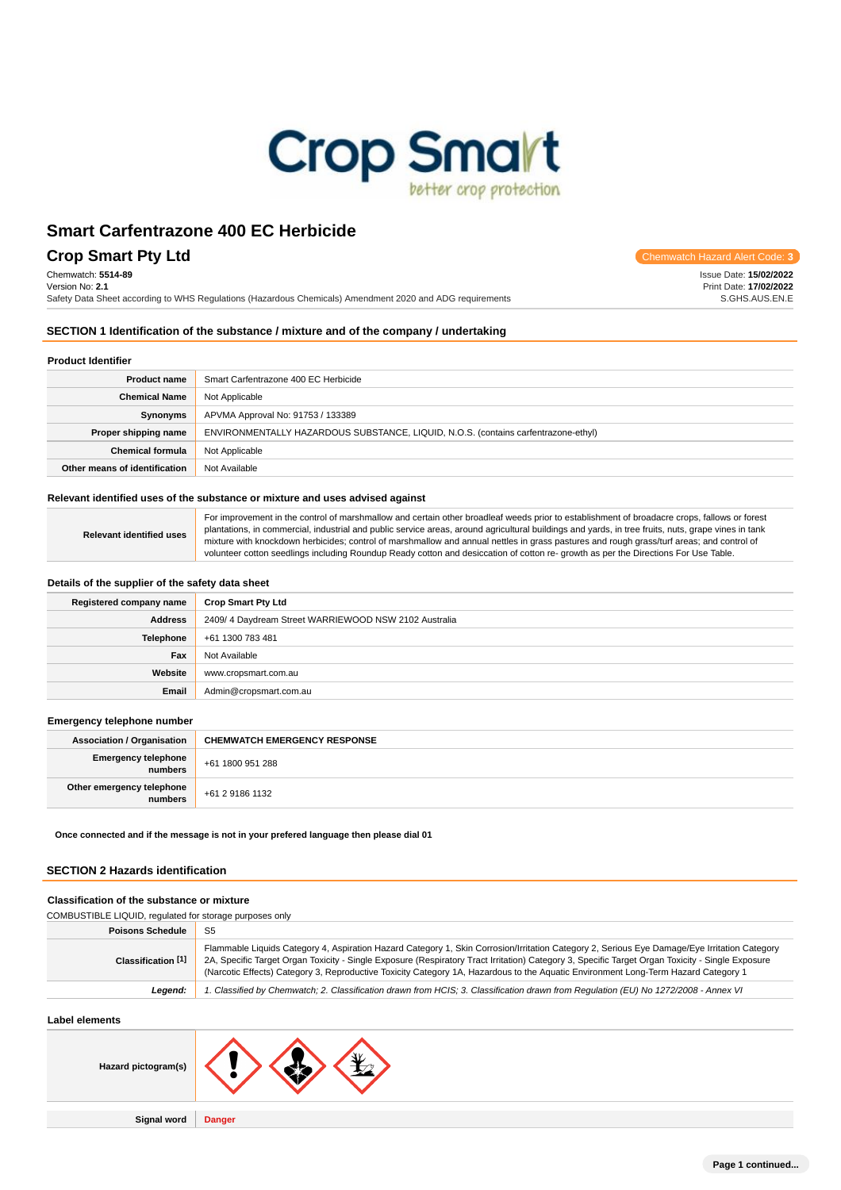

## **Crop Smart Pty Ltd** Chemwatch Hazard Alert Code: **3**

Chemwatch: **5514-89**

Version No: **2.1**

Safety Data Sheet according to WHS Regulations (Hazardous Chemicals) Amendment 2020 and ADG requirements

Issue Date: **15/02/2022**

Print Date: **17/02/2022** S.GHS.AUS.EN.E

### **SECTION 1 Identification of the substance / mixture and of the company / undertaking**

#### **Product Identifier**

| <b>Product name</b>                                                                                        | Smart Carfentrazone 400 EC Herbicide |  |
|------------------------------------------------------------------------------------------------------------|--------------------------------------|--|
| <b>Chemical Name</b>                                                                                       | Not Applicable                       |  |
| APVMA Approval No: 91753 / 133389<br>Synonyms                                                              |                                      |  |
| ENVIRONMENTALLY HAZARDOUS SUBSTANCE, LIQUID, N.O.S. (contains carfentrazone-ethyl)<br>Proper shipping name |                                      |  |
| <b>Chemical formula</b>                                                                                    | Not Applicable                       |  |
| Other means of identification                                                                              | Not Available                        |  |

### **Relevant identified uses of the substance or mixture and uses advised against**

|  | For improvement in the control of marshmallow and certain other broadleaf weeds prior to establishment of broadacre crops, fallows or forest<br>plantations, in commercial, industrial and public service areas, around agricultural buildings and yards, in tree fruits, nuts, grape vines in tank |
|--|-----------------------------------------------------------------------------------------------------------------------------------------------------------------------------------------------------------------------------------------------------------------------------------------------------|
|  | mixture with knockdown herbicides; control of marshmallow and annual nettles in grass pastures and rough grass/turf areas; and control of<br>volunteer cotton seedlings including Roundup Ready cotton and desiccation of cotton re- growth as per the Directions For Use Table.                    |

#### **Details of the supplier of the safety data sheet**

**Relevant identified use** 

| Registered company name | <b>Crop Smart Pty Ltd</b>                            |  |
|-------------------------|------------------------------------------------------|--|
| Address                 | 2409/4 Daydream Street WARRIEWOOD NSW 2102 Australia |  |
| <b>Telephone</b>        | +61 1300 783 481                                     |  |
| Fax                     | Not Available                                        |  |
| Website                 | www.cropsmart.com.au                                 |  |
| Email                   | Admin@cropsmart.com.au                               |  |

#### **Emergency telephone number**

| <b>Association / Organisation</b>    | <b>CHEMWATCH EMERGENCY RESPONSE</b> |
|--------------------------------------|-------------------------------------|
| Emergency telephone<br>numbers       | +61 1800 951 288                    |
| Other emergency telephone<br>numbers | +61 2 9186 1132                     |

**Once connected and if the message is not in your prefered language then please dial 01**

#### **SECTION 2 Hazards identification**

#### **Classification of the substance or mixture**

| COMBUSTIBLE LIQUID, regulated for storage purposes only |                                                                                                                                                                                                                                                                                                                                                                                                                                        |  |
|---------------------------------------------------------|----------------------------------------------------------------------------------------------------------------------------------------------------------------------------------------------------------------------------------------------------------------------------------------------------------------------------------------------------------------------------------------------------------------------------------------|--|
| <b>Poisons Schedule</b><br>S <sub>5</sub>               |                                                                                                                                                                                                                                                                                                                                                                                                                                        |  |
| Classification [1]                                      | Flammable Liquids Category 4, Aspiration Hazard Category 1, Skin Corrosion/Irritation Category 2, Serious Eye Damage/Eye Irritation Category<br>2A, Specific Target Organ Toxicity - Single Exposure (Respiratory Tract Irritation) Category 3, Specific Target Organ Toxicity - Single Exposure<br>(Narcotic Effects) Category 3, Reproductive Toxicity Category 1A, Hazardous to the Aquatic Environment Long-Term Hazard Category 1 |  |
| Leaend:                                                 | '. Classified by Chemwatch; 2. Classification drawn from HCIS; 3. Classification drawn from Requlation (EU) No 1272/2008 - Annex VI                                                                                                                                                                                                                                                                                                    |  |
|                                                         |                                                                                                                                                                                                                                                                                                                                                                                                                                        |  |

### **Label elements**

| Hazard pictogram(s) |               |
|---------------------|---------------|
| Signal word         | <b>Danger</b> |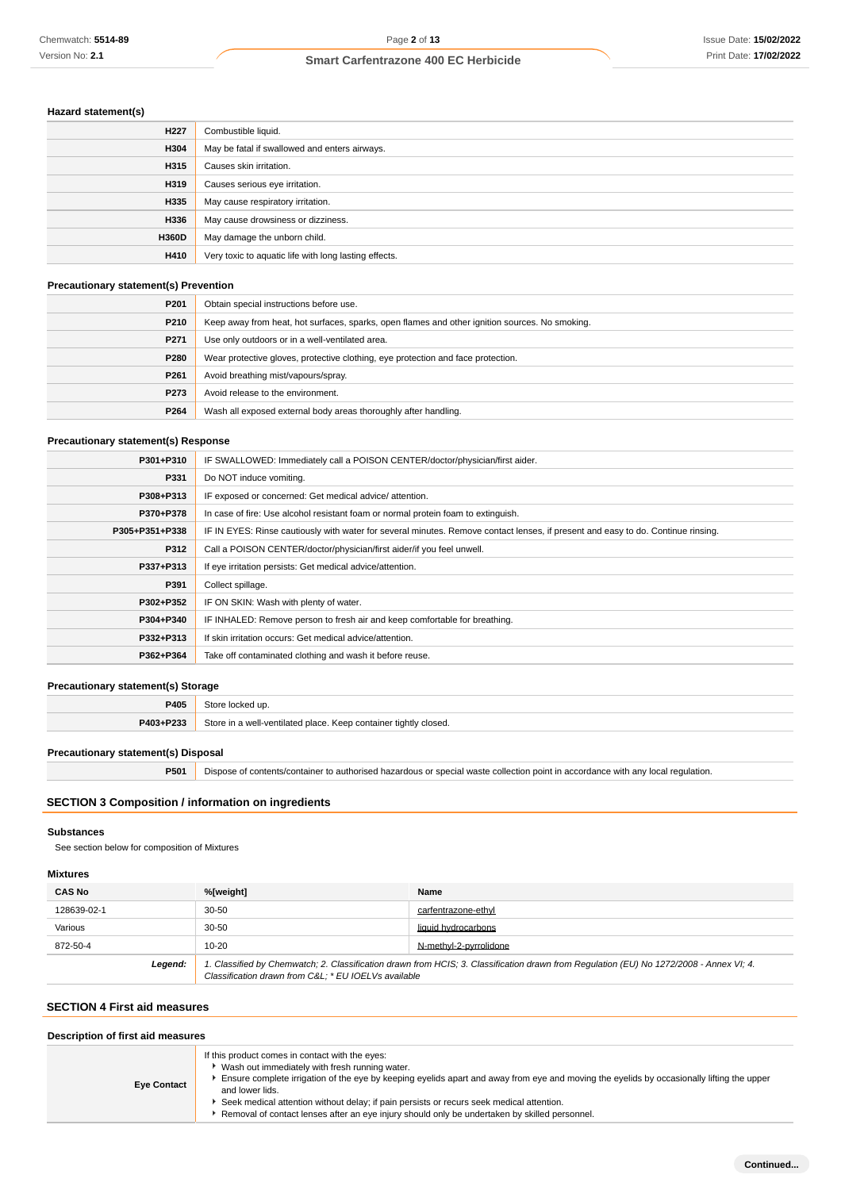### **Hazard statement(s)**

| H <sub>227</sub> | Combustible liquid.                                   |
|------------------|-------------------------------------------------------|
| H304             | May be fatal if swallowed and enters airways.         |
| H315             | Causes skin irritation.                               |
| H319             | Causes serious eye irritation.                        |
| H335             | May cause respiratory irritation.                     |
| H336             | May cause drowsiness or dizziness.                    |
| <b>H360D</b>     | May damage the unborn child.                          |
| H410             | Very toxic to aquatic life with long lasting effects. |

### **Precautionary statement(s) Prevention**

| P <sub>201</sub> | Obtain special instructions before use.                                                        |
|------------------|------------------------------------------------------------------------------------------------|
| P210             | Keep away from heat, hot surfaces, sparks, open flames and other ignition sources. No smoking. |
| P <sub>271</sub> | Use only outdoors or in a well-ventilated area.                                                |
| P280             | Wear protective gloves, protective clothing, eye protection and face protection.               |
| P261             | Avoid breathing mist/vapours/spray.                                                            |
| P273             | Avoid release to the environment.                                                              |
| P264             | Wash all exposed external body areas thoroughly after handling.                                |

### **Precautionary statement(s) Response**

| P301+P310      | IF SWALLOWED: Immediately call a POISON CENTER/doctor/physician/first aider.                                                     |  |
|----------------|----------------------------------------------------------------------------------------------------------------------------------|--|
| P331           | Do NOT induce vomiting.                                                                                                          |  |
| P308+P313      | IF exposed or concerned: Get medical advice/attention.                                                                           |  |
| P370+P378      | In case of fire: Use alcohol resistant foam or normal protein foam to extinguish.                                                |  |
| P305+P351+P338 | IF IN EYES: Rinse cautiously with water for several minutes. Remove contact lenses, if present and easy to do. Continue rinsing. |  |
| P312           | Call a POISON CENTER/doctor/physician/first aider/if you feel unwell.                                                            |  |
| P337+P313      | If eye irritation persists: Get medical advice/attention.                                                                        |  |
| P391           | Collect spillage.                                                                                                                |  |
| P302+P352      | IF ON SKIN: Wash with plenty of water.                                                                                           |  |
| P304+P340      | IF INHALED: Remove person to fresh air and keep comfortable for breathing.                                                       |  |
| P332+P313      | If skin irritation occurs: Get medical advice/attention.                                                                         |  |
| P362+P364      | Take off contaminated clothing and wash it before reuse.                                                                         |  |

### **Precautionary statement(s) Storage**

| P405      | Store locked up.                                                 |
|-----------|------------------------------------------------------------------|
| P403+P233 | Store in a well-ventilated place. Keep container tightly closed. |

#### **Precautionary statement(s) Disposal**

**P501** Dispose of contents/container to authorised hazardous or special waste collection point in accordance with any local regulation.

### **SECTION 3 Composition / information on ingredients**

#### **Substances**

See section below for composition of Mixtures

### **Mixtures**

| <b>CAS No</b>                                                                                                                                                                                             | %[weight] | Name                   |
|-----------------------------------------------------------------------------------------------------------------------------------------------------------------------------------------------------------|-----------|------------------------|
| 128639-02-1                                                                                                                                                                                               | $30 - 50$ | carfentrazone-ethyl    |
| Various                                                                                                                                                                                                   | $30 - 50$ | liquid hydrocarbons    |
| 872-50-4                                                                                                                                                                                                  | $10 - 20$ | N-methyl-2-pyrrolidone |
| 1. Classified by Chemwatch; 2. Classification drawn from HCIS; 3. Classification drawn from Regulation (EU) No 1272/2008 - Annex VI; 4.<br>Legend:<br>Classification drawn from C&L * EU IOELVs available |           |                        |

#### **SECTION 4 First aid measures**

| Description of first aid measures |                                                                                                                                                                                                                                                                                                                                                                                                                                                                |  |
|-----------------------------------|----------------------------------------------------------------------------------------------------------------------------------------------------------------------------------------------------------------------------------------------------------------------------------------------------------------------------------------------------------------------------------------------------------------------------------------------------------------|--|
| <b>Eye Contact</b>                | If this product comes in contact with the eyes:<br>Wash out immediately with fresh running water.<br>Ensure complete irrigation of the eye by keeping eyelids apart and away from eye and moving the eyelids by occasionally lifting the upper<br>and lower lids.<br>Seek medical attention without delay; if pain persists or recurs seek medical attention.<br>Removal of contact lenses after an eye injury should only be undertaken by skilled personnel. |  |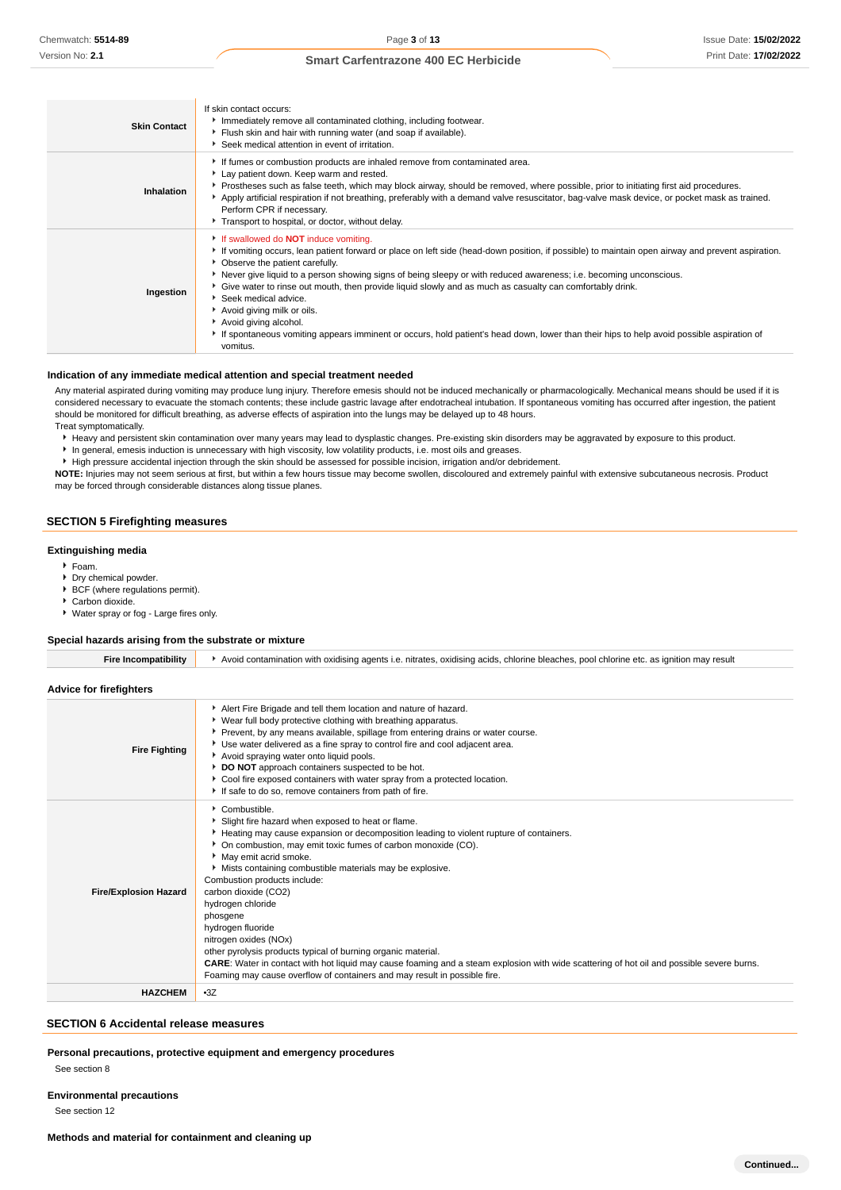| <b>Skin Contact</b> | If skin contact occurs:<br>Immediately remove all contaminated clothing, including footwear.<br>Flush skin and hair with running water (and soap if available).<br>Seek medical attention in event of irritation.                                                                                                                                                                                                                                                                                                                                                                                                                                                                                             |
|---------------------|---------------------------------------------------------------------------------------------------------------------------------------------------------------------------------------------------------------------------------------------------------------------------------------------------------------------------------------------------------------------------------------------------------------------------------------------------------------------------------------------------------------------------------------------------------------------------------------------------------------------------------------------------------------------------------------------------------------|
| Inhalation          | If fumes or combustion products are inhaled remove from contaminated area.<br>Lay patient down. Keep warm and rested.<br>▶ Prostheses such as false teeth, which may block airway, should be removed, where possible, prior to initiating first aid procedures.<br>Apply artificial respiration if not breathing, preferably with a demand valve resuscitator, bag-valve mask device, or pocket mask as trained.<br>Perform CPR if necessary.<br>Transport to hospital, or doctor, without delay.                                                                                                                                                                                                             |
| Ingestion           | If swallowed do <b>NOT</b> induce vomiting.<br>► If vomiting occurs, lean patient forward or place on left side (head-down position, if possible) to maintain open airway and prevent aspiration.<br>• Observe the patient carefully.<br>Never give liquid to a person showing signs of being sleepy or with reduced awareness; i.e. becoming unconscious.<br>Give water to rinse out mouth, then provide liquid slowly and as much as casualty can comfortably drink.<br>Seek medical advice.<br>Avoid giving milk or oils.<br>Avoid giving alcohol.<br>If spontaneous vomiting appears imminent or occurs, hold patient's head down, lower than their hips to help avoid possible aspiration of<br>vomitus. |

#### **Indication of any immediate medical attention and special treatment needed**

Any material aspirated during vomiting may produce lung injury. Therefore emesis should not be induced mechanically or pharmacologically. Mechanical means should be used if it is considered necessary to evacuate the stomach contents; these include gastric lavage after endotracheal intubation. If spontaneous vomiting has occurred after ingestion, the patient should be monitored for difficult breathing, as adverse effects of aspiration into the lungs may be delayed up to 48 hours. Treat symptomatically.

Heavy and persistent skin contamination over many years may lead to dysplastic changes. Pre-existing skin disorders may be aggravated by exposure to this product.

In general, emesis induction is unnecessary with high viscosity, low volatility products, i.e. most oils and greases.

High pressure accidental injection through the skin should be assessed for possible incision, irrigation and/or debridement. **NOTE:** Injuries may not seem serious at first, but within a few hours tissue may become swollen, discoloured and extremely painful with extensive subcutaneous necrosis. Product may be forced through considerable distances along tissue planes.

#### **SECTION 5 Firefighting measures**

#### **Extinguishing media**

- Foam.
- Dry chemical powder.
- BCF (where regulations permit).
- Carbon dioxide.
- Water spray or fog Large fires only.

#### **Special hazards arising from the substrate or mixture**

| <b>Fire Incompatibility</b>  | Avoid contamination with oxidising agents i.e. nitrates, oxidising acids, chlorine bleaches, pool chlorine etc. as ignition may result                                                                                                                                                                                                                                                                                                                                                                                                                                                                                                                                                                                                                        |
|------------------------------|---------------------------------------------------------------------------------------------------------------------------------------------------------------------------------------------------------------------------------------------------------------------------------------------------------------------------------------------------------------------------------------------------------------------------------------------------------------------------------------------------------------------------------------------------------------------------------------------------------------------------------------------------------------------------------------------------------------------------------------------------------------|
| Advice for firefighters      |                                                                                                                                                                                                                                                                                                                                                                                                                                                                                                                                                                                                                                                                                                                                                               |
| <b>Fire Fighting</b>         | Alert Fire Brigade and tell them location and nature of hazard.<br>• Wear full body protective clothing with breathing apparatus.<br>Prevent, by any means available, spillage from entering drains or water course.<br>Use water delivered as a fine spray to control fire and cool adjacent area.<br>Avoid spraying water onto liquid pools.<br>DO NOT approach containers suspected to be hot.<br>Cool fire exposed containers with water spray from a protected location.<br>If safe to do so, remove containers from path of fire.                                                                                                                                                                                                                       |
| <b>Fire/Explosion Hazard</b> | Combustible.<br>Slight fire hazard when exposed to heat or flame.<br>► Heating may cause expansion or decomposition leading to violent rupture of containers.<br>• On combustion, may emit toxic fumes of carbon monoxide (CO).<br>May emit acrid smoke.<br>Mists containing combustible materials may be explosive.<br>Combustion products include:<br>carbon dioxide (CO2)<br>hydrogen chloride<br>phosgene<br>hydrogen fluoride<br>nitrogen oxides (NOx)<br>other pyrolysis products typical of burning organic material.<br><b>CARE:</b> Water in contact with hot liquid may cause foaming and a steam explosion with wide scattering of hot oil and possible severe burns.<br>Foaming may cause overflow of containers and may result in possible fire. |
| <b>HAZCHEM</b>               | $-3Z$                                                                                                                                                                                                                                                                                                                                                                                                                                                                                                                                                                                                                                                                                                                                                         |
|                              |                                                                                                                                                                                                                                                                                                                                                                                                                                                                                                                                                                                                                                                                                                                                                               |

#### **SECTION 6 Accidental release measures**

#### **Personal precautions, protective equipment and emergency procedures**

See section 8

#### **Environmental precautions**

See section 12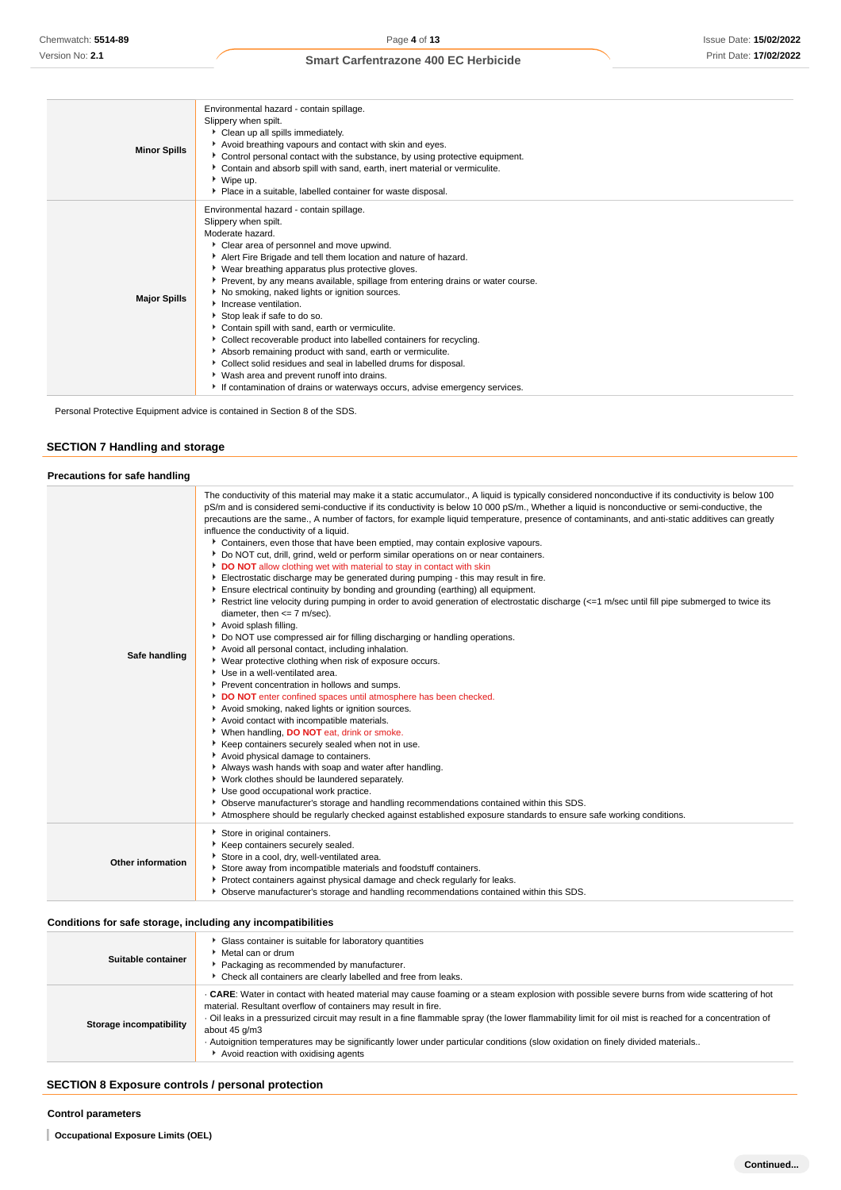| <b>Minor Spills</b> | Environmental hazard - contain spillage.<br>Slippery when spilt.<br>Clean up all spills immediately.<br>Avoid breathing vapours and contact with skin and eyes.<br>▶ Control personal contact with the substance, by using protective equipment.<br>Contain and absorb spill with sand, earth, inert material or vermiculite.<br>▶ Wipe up.<br>• Place in a suitable, labelled container for waste disposal.                                                                                                                                                                                                                                                                                                                                                                                                                                  |
|---------------------|-----------------------------------------------------------------------------------------------------------------------------------------------------------------------------------------------------------------------------------------------------------------------------------------------------------------------------------------------------------------------------------------------------------------------------------------------------------------------------------------------------------------------------------------------------------------------------------------------------------------------------------------------------------------------------------------------------------------------------------------------------------------------------------------------------------------------------------------------|
| <b>Major Spills</b> | Environmental hazard - contain spillage.<br>Slippery when spilt.<br>Moderate hazard.<br>Clear area of personnel and move upwind.<br>Alert Fire Brigade and tell them location and nature of hazard.<br>▶ Wear breathing apparatus plus protective gloves.<br>▶ Prevent, by any means available, spillage from entering drains or water course.<br>No smoking, naked lights or ignition sources.<br>Increase ventilation.<br>Stop leak if safe to do so.<br>Contain spill with sand, earth or vermiculite.<br>Collect recoverable product into labelled containers for recycling.<br>Absorb remaining product with sand, earth or vermiculite.<br>Collect solid residues and seal in labelled drums for disposal.<br>▶ Wash area and prevent runoff into drains.<br>If contamination of drains or waterways occurs, advise emergency services. |

Personal Protective Equipment advice is contained in Section 8 of the SDS.

### **SECTION 7 Handling and storage**

| <b>Precautions for safe handling</b> |  |
|--------------------------------------|--|
|                                      |  |

| Safe handling     | The conductivity of this material may make it a static accumulator., A liquid is typically considered nonconductive if its conductivity is below 100<br>pS/m and is considered semi-conductive if its conductivity is below 10 000 pS/m., Whether a liquid is nonconductive or semi-conductive, the<br>precautions are the same., A number of factors, for example liquid temperature, presence of contaminants, and anti-static additives can greatly<br>influence the conductivity of a liquid.<br>▶ Containers, even those that have been emptied, may contain explosive vapours.<br>Do NOT cut, drill, grind, weld or perform similar operations on or near containers.<br>DO NOT allow clothing wet with material to stay in contact with skin<br>Electrostatic discharge may be generated during pumping - this may result in fire.<br>Ensure electrical continuity by bonding and grounding (earthing) all equipment.<br>Restrict line velocity during pumping in order to avoid generation of electrostatic discharge (<=1 m/sec until fill pipe submerged to twice its<br>diameter, then $\leq$ 7 m/sec).<br>Avoid splash filling.<br>Do NOT use compressed air for filling discharging or handling operations.<br>Avoid all personal contact, including inhalation.<br>▶ Wear protective clothing when risk of exposure occurs.<br>▶ Use in a well-ventilated area.<br>Prevent concentration in hollows and sumps.<br>DO NOT enter confined spaces until atmosphere has been checked.<br>Avoid smoking, naked lights or ignition sources.<br>Avoid contact with incompatible materials.<br>▶ When handling, DO NOT eat, drink or smoke.<br>Keep containers securely sealed when not in use.<br>Avoid physical damage to containers.<br>Always wash hands with soap and water after handling.<br>Vork clothes should be laundered separately.<br>Use good occupational work practice.<br>▶ Observe manufacturer's storage and handling recommendations contained within this SDS. |
|-------------------|--------------------------------------------------------------------------------------------------------------------------------------------------------------------------------------------------------------------------------------------------------------------------------------------------------------------------------------------------------------------------------------------------------------------------------------------------------------------------------------------------------------------------------------------------------------------------------------------------------------------------------------------------------------------------------------------------------------------------------------------------------------------------------------------------------------------------------------------------------------------------------------------------------------------------------------------------------------------------------------------------------------------------------------------------------------------------------------------------------------------------------------------------------------------------------------------------------------------------------------------------------------------------------------------------------------------------------------------------------------------------------------------------------------------------------------------------------------------------------------------------------------------------------------------------------------------------------------------------------------------------------------------------------------------------------------------------------------------------------------------------------------------------------------------------------------------------------------------------------------------------------------------------------------------------------------------------------------------------------------------|
|                   | Atmosphere should be regularly checked against established exposure standards to ensure safe working conditions.                                                                                                                                                                                                                                                                                                                                                                                                                                                                                                                                                                                                                                                                                                                                                                                                                                                                                                                                                                                                                                                                                                                                                                                                                                                                                                                                                                                                                                                                                                                                                                                                                                                                                                                                                                                                                                                                           |
| Other information | Store in original containers.<br>Keep containers securely sealed.<br>Store in a cool, dry, well-ventilated area.<br>Store away from incompatible materials and foodstuff containers.<br>Protect containers against physical damage and check regularly for leaks.<br>▶ Observe manufacturer's storage and handling recommendations contained within this SDS.                                                                                                                                                                                                                                                                                                                                                                                                                                                                                                                                                                                                                                                                                                                                                                                                                                                                                                                                                                                                                                                                                                                                                                                                                                                                                                                                                                                                                                                                                                                                                                                                                              |

### **Conditions for safe storage, including any incompatibilities**

| Suitable container      | Glass container is suitable for laboratory quantities<br>▶ Metal can or drum<br>Packaging as recommended by manufacturer.<br>• Check all containers are clearly labelled and free from leaks.                                                                                                                                                                                                                                                                                                                                                                      |
|-------------------------|--------------------------------------------------------------------------------------------------------------------------------------------------------------------------------------------------------------------------------------------------------------------------------------------------------------------------------------------------------------------------------------------------------------------------------------------------------------------------------------------------------------------------------------------------------------------|
| Storage incompatibility | . CARE: Water in contact with heated material may cause foaming or a steam explosion with possible severe burns from wide scattering of hot<br>material. Resultant overflow of containers may result in fire.<br>· Oil leaks in a pressurized circuit may result in a fine flammable spray (the lower flammability limit for oil mist is reached for a concentration of<br>about 45 g/m3<br>. Autoignition temperatures may be significantly lower under particular conditions (slow oxidation on finely divided materials<br>Avoid reaction with oxidising agents |

## **SECTION 8 Exposure controls / personal protection**

**Occupational Exposure Limits (OEL)**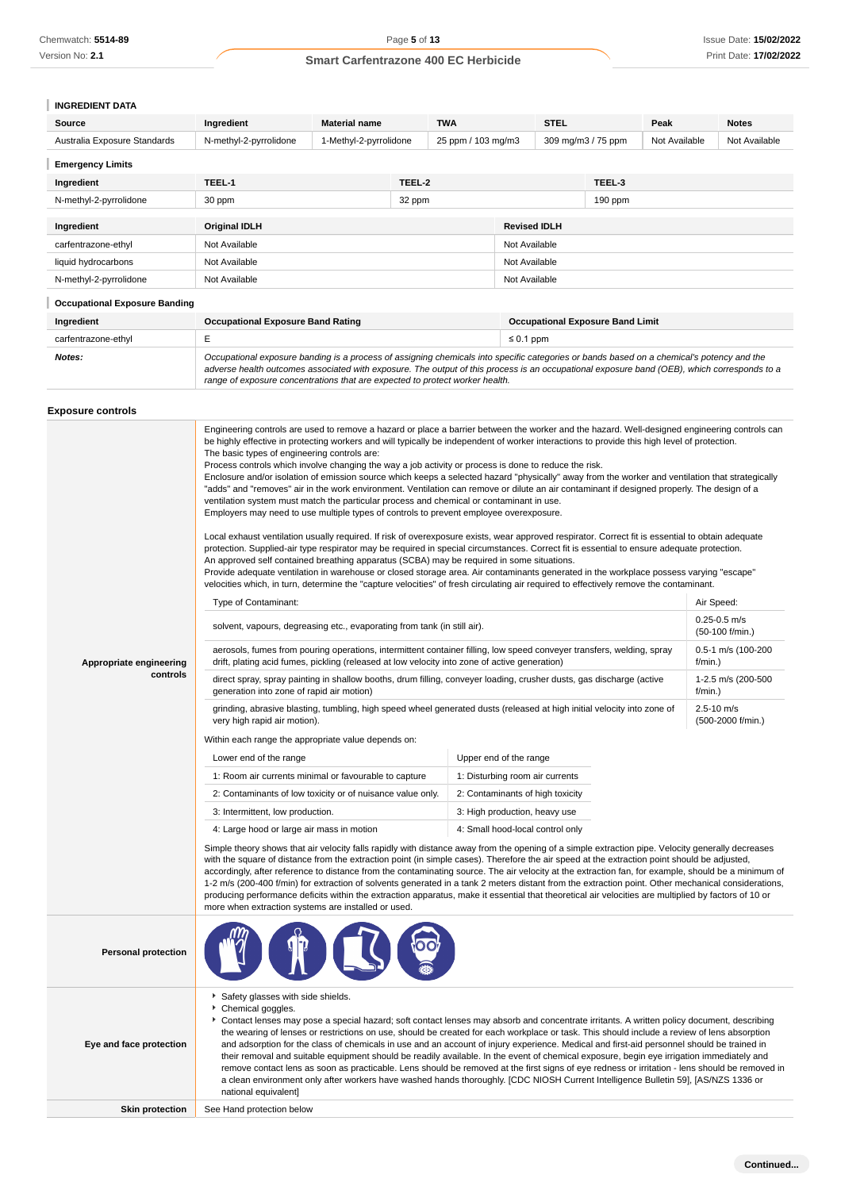Version No: **2.1**

### **Smart Carfentrazone 400 EC Herbicide**

## **INGREDIENT DATA**

| Source                       | Ingredient             | <b>Material name</b>   |        | <b>TWA</b>         | <b>STEL</b>        |           | Peak          | <b>Notes</b>  |
|------------------------------|------------------------|------------------------|--------|--------------------|--------------------|-----------|---------------|---------------|
| Australia Exposure Standards | N-methyl-2-pyrrolidone | 1-Methyl-2-pyrrolidone |        | 25 ppm / 103 mg/m3 | 309 mg/m3 / 75 ppm |           | Not Available | Not Available |
| <b>Emergency Limits</b>      |                        |                        |        |                    |                    |           |               |               |
| Ingredient                   | TEEL-1                 |                        | TEEL-2 |                    |                    | TEEL-3    |               |               |
| N-methyl-2-pyrrolidone       | 30 ppm                 |                        | 32 ppm |                    |                    | $190$ ppm |               |               |
|                              |                        |                        |        |                    |                    |           |               |               |
|                              |                        |                        |        |                    |                    |           |               |               |

| Ingredient                           | <b>Original IDLH</b>                                                                                                                                                                                                                                                                                                                                                     | <b>Revised IDLH</b>                     |  |  |
|--------------------------------------|--------------------------------------------------------------------------------------------------------------------------------------------------------------------------------------------------------------------------------------------------------------------------------------------------------------------------------------------------------------------------|-----------------------------------------|--|--|
| carfentrazone-ethyl                  | Not Available                                                                                                                                                                                                                                                                                                                                                            | Not Available                           |  |  |
| liquid hydrocarbons                  | Not Available                                                                                                                                                                                                                                                                                                                                                            | Not Available                           |  |  |
| N-methyl-2-pyrrolidone               | Not Available                                                                                                                                                                                                                                                                                                                                                            | Not Available                           |  |  |
| <b>Occupational Exposure Banding</b> |                                                                                                                                                                                                                                                                                                                                                                          |                                         |  |  |
| Ingredient                           | <b>Occupational Exposure Band Rating</b>                                                                                                                                                                                                                                                                                                                                 | <b>Occupational Exposure Band Limit</b> |  |  |
| carfentrazone-ethyl                  | E                                                                                                                                                                                                                                                                                                                                                                        | $\leq 0.1$ ppm                          |  |  |
| Notes:                               | Occupational exposure banding is a process of assigning chemicals into specific categories or bands based on a chemical's potency and the<br>adverse health outcomes associated with exposure. The output of this process is an occupational exposure band (OEB), which corresponds to a<br>range of exposure concentrations that are expected to protect worker health. |                                         |  |  |

### **Exposure controls**

| Appropriate engineering<br>controls | The basic types of engineering controls are:<br>Process controls which involve changing the way a job activity or process is done to reduce the risk.<br>Enclosure and/or isolation of emission source which keeps a selected hazard "physically" away from the worker and ventilation that strategically<br>"adds" and "removes" air in the work environment. Ventilation can remove or dilute an air contaminant if designed properly. The design of a<br>ventilation system must match the particular process and chemical or contaminant in use.<br>Employers may need to use multiple types of controls to prevent employee overexposure.<br>Local exhaust ventilation usually required. If risk of overexposure exists, wear approved respirator. Correct fit is essential to obtain adequate<br>protection. Supplied-air type respirator may be required in special circumstances. Correct fit is essential to ensure adequate protection.<br>An approved self contained breathing apparatus (SCBA) may be required in some situations.<br>Provide adequate ventilation in warehouse or closed storage area. Air contaminants generated in the workplace possess varying "escape"<br>velocities which, in turn, determine the "capture velocities" of fresh circulating air required to effectively remove the contaminant.<br>Air Speed:<br>Type of Contaminant:<br>$0.25 - 0.5$ m/s<br>solvent, vapours, degreasing etc., evaporating from tank (in still air).<br>(50-100 f/min.)<br>aerosols, fumes from pouring operations, intermittent container filling, low speed conveyer transfers, welding, spray<br>0.5-1 m/s (100-200<br>drift, plating acid fumes, pickling (released at low velocity into zone of active generation)<br>$f/min.$ )<br>direct spray, spray painting in shallow booths, drum filling, conveyer loading, crusher dusts, gas discharge (active<br>1-2.5 m/s (200-500<br>generation into zone of rapid air motion)<br>f/min.)<br>grinding, abrasive blasting, tumbling, high speed wheel generated dusts (released at high initial velocity into zone of<br>$2.5 - 10$ m/s<br>very high rapid air motion).<br>(500-2000 f/min.)<br>Within each range the appropriate value depends on:<br>Upper end of the range<br>Lower end of the range<br>1: Room air currents minimal or favourable to capture<br>1: Disturbing room air currents<br>2: Contaminants of low toxicity or of nuisance value only.<br>2: Contaminants of high toxicity<br>3: Intermittent, low production.<br>3: High production, heavy use<br>4: Large hood or large air mass in motion<br>4: Small hood-local control only<br>Simple theory shows that air velocity falls rapidly with distance away from the opening of a simple extraction pipe. Velocity generally decreases<br>with the square of distance from the extraction point (in simple cases). Therefore the air speed at the extraction point should be adjusted,<br>accordingly, after reference to distance from the contaminating source. The air velocity at the extraction fan, for example, should be a minimum of<br>1-2 m/s (200-400 f/min) for extraction of solvents generated in a tank 2 meters distant from the extraction point. Other mechanical considerations,<br>producing performance deficits within the extraction apparatus, make it essential that theoretical air velocities are multiplied by factors of 10 or<br>more when extraction systems are installed or used. |  |  |  |  |  |
|-------------------------------------|--------------------------------------------------------------------------------------------------------------------------------------------------------------------------------------------------------------------------------------------------------------------------------------------------------------------------------------------------------------------------------------------------------------------------------------------------------------------------------------------------------------------------------------------------------------------------------------------------------------------------------------------------------------------------------------------------------------------------------------------------------------------------------------------------------------------------------------------------------------------------------------------------------------------------------------------------------------------------------------------------------------------------------------------------------------------------------------------------------------------------------------------------------------------------------------------------------------------------------------------------------------------------------------------------------------------------------------------------------------------------------------------------------------------------------------------------------------------------------------------------------------------------------------------------------------------------------------------------------------------------------------------------------------------------------------------------------------------------------------------------------------------------------------------------------------------------------------------------------------------------------------------------------------------------------------------------------------------------------------------------------------------------------------------------------------------------------------------------------------------------------------------------------------------------------------------------------------------------------------------------------------------------------------------------------------------------------------------------------------------------------------------------------------------------------------------------------------------------------------------------------------------------------------------------------------------------------------------------------------------------------------------------------------------------------------------------------------------------------------------------------------------------------------------------------------------------------------------------------------------------------------------------------------------------------------------------------------------------------------------------------------------------------------------------------------------------------------------------------------------------------------------------------------------------------------------------------------------------------------------------------------------------------------------------------------------------------------------------------------------------------------------------------------------------------------------------------------------|--|--|--|--|--|
| <b>Personal protection</b>          |                                                                                                                                                                                                                                                                                                                                                                                                                                                                                                                                                                                                                                                                                                                                                                                                                                                                                                                                                                                                                                                                                                                                                                                                                                                                                                                                                                                                                                                                                                                                                                                                                                                                                                                                                                                                                                                                                                                                                                                                                                                                                                                                                                                                                                                                                                                                                                                                                                                                                                                                                                                                                                                                                                                                                                                                                                                                                                                                                                                                                                                                                                                                                                                                                                                                                                                                                                                                                                                                    |  |  |  |  |  |
| Eye and face protection             | Safety glasses with side shields.<br>Chemical goggles.<br>Contact lenses may pose a special hazard; soft contact lenses may absorb and concentrate irritants. A written policy document, describing<br>the wearing of lenses or restrictions on use, should be created for each workplace or task. This should include a review of lens absorption<br>and adsorption for the class of chemicals in use and an account of injury experience. Medical and first-aid personnel should be trained in<br>their removal and suitable equipment should be readily available. In the event of chemical exposure, begin eye irrigation immediately and<br>remove contact lens as soon as practicable. Lens should be removed at the first signs of eye redness or irritation - lens should be removed in<br>a clean environment only after workers have washed hands thoroughly. [CDC NIOSH Current Intelligence Bulletin 59], [AS/NZS 1336 or<br>national equivalent]                                                                                                                                                                                                                                                                                                                                                                                                                                                                                                                                                                                                                                                                                                                                                                                                                                                                                                                                                                                                                                                                                                                                                                                                                                                                                                                                                                                                                                                                                                                                                                                                                                                                                                                                                                                                                                                                                                                                                                                                                                                                                                                                                                                                                                                                                                                                                                                                                                                                                                      |  |  |  |  |  |
| <b>Skin protection</b>              | See Hand protection below                                                                                                                                                                                                                                                                                                                                                                                                                                                                                                                                                                                                                                                                                                                                                                                                                                                                                                                                                                                                                                                                                                                                                                                                                                                                                                                                                                                                                                                                                                                                                                                                                                                                                                                                                                                                                                                                                                                                                                                                                                                                                                                                                                                                                                                                                                                                                                                                                                                                                                                                                                                                                                                                                                                                                                                                                                                                                                                                                                                                                                                                                                                                                                                                                                                                                                                                                                                                                                          |  |  |  |  |  |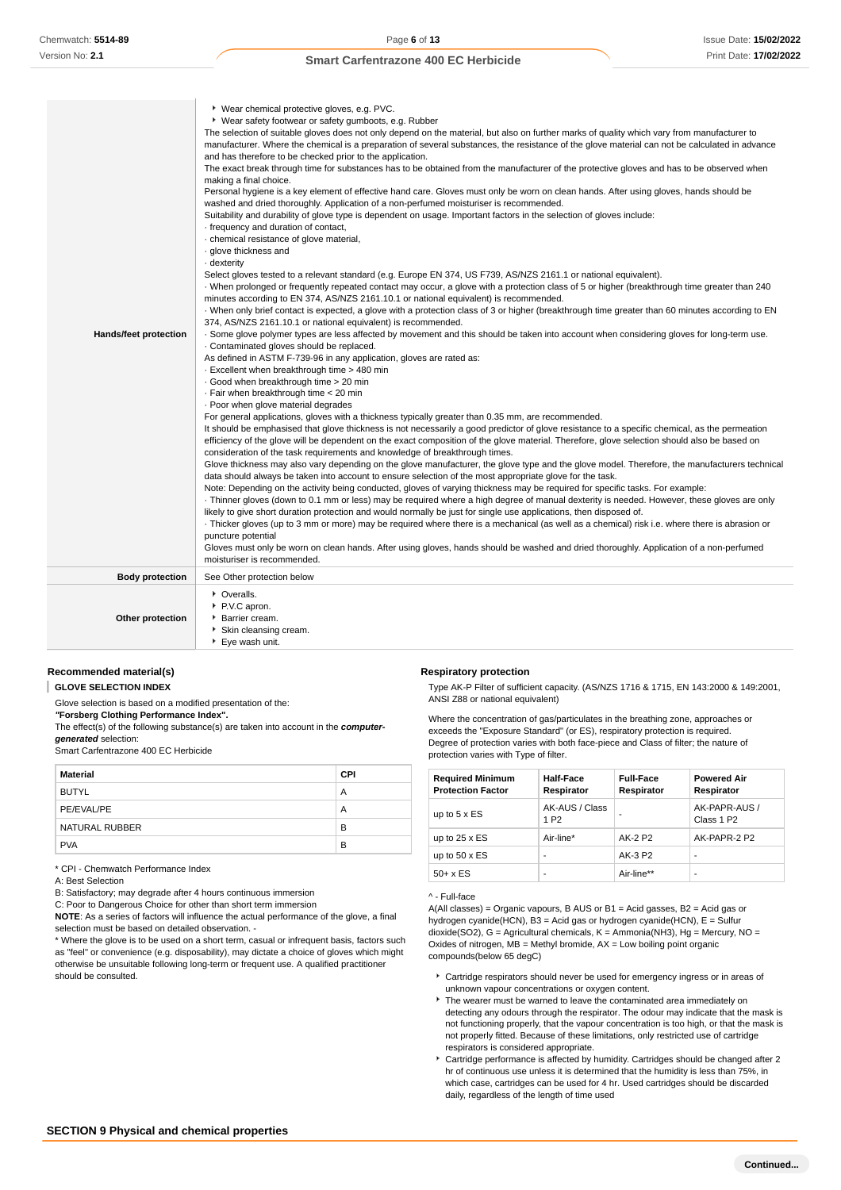| <b>Hands/feet protection</b> | ▶ Wear chemical protective gloves, e.g. PVC.<br>▶ Wear safety footwear or safety gumboots, e.g. Rubber<br>The selection of suitable gloves does not only depend on the material, but also on further marks of quality which vary from manufacturer to<br>manufacturer. Where the chemical is a preparation of several substances, the resistance of the glove material can not be calculated in advance<br>and has therefore to be checked prior to the application.<br>The exact break through time for substances has to be obtained from the manufacturer of the protective gloves and has to be observed when<br>making a final choice.<br>Personal hygiene is a key element of effective hand care. Gloves must only be worn on clean hands. After using gloves, hands should be<br>washed and dried thoroughly. Application of a non-perfumed moisturiser is recommended.<br>Suitability and durability of glove type is dependent on usage. Important factors in the selection of gloves include:<br>- frequency and duration of contact,<br>· chemical resistance of glove material,<br>· glove thickness and<br>· dexterity<br>Select gloves tested to a relevant standard (e.g. Europe EN 374, US F739, AS/NZS 2161.1 or national equivalent).<br>When prolonged or frequently repeated contact may occur, a glove with a protection class of 5 or higher (breakthrough time greater than 240<br>minutes according to EN 374, AS/NZS 2161.10.1 or national equivalent) is recommended.<br>. When only brief contact is expected, a glove with a protection class of 3 or higher (breakthrough time greater than 60 minutes according to EN<br>374, AS/NZS 2161.10.1 or national equivalent) is recommended.<br>. Some glove polymer types are less affected by movement and this should be taken into account when considering gloves for long-term use.<br>. Contaminated gloves should be replaced.<br>As defined in ASTM F-739-96 in any application, gloves are rated as:<br>- Excellent when breakthrough time > 480 min<br>Good when breakthrough time > 20 min<br>· Fair when breakthrough time < 20 min<br>. Poor when glove material degrades<br>For general applications, gloves with a thickness typically greater than 0.35 mm, are recommended.<br>It should be emphasised that glove thickness is not necessarily a good predictor of glove resistance to a specific chemical, as the permeation<br>efficiency of the glove will be dependent on the exact composition of the glove material. Therefore, glove selection should also be based on<br>consideration of the task requirements and knowledge of breakthrough times.<br>Glove thickness may also vary depending on the glove manufacturer, the glove type and the glove model. Therefore, the manufacturers technical<br>data should always be taken into account to ensure selection of the most appropriate glove for the task.<br>Note: Depending on the activity being conducted, gloves of varying thickness may be required for specific tasks. For example:<br>Thinner gloves (down to 0.1 mm or less) may be required where a high degree of manual dexterity is needed. However, these gloves are only<br>likely to give short duration protection and would normally be just for single use applications, then disposed of.<br>Thicker gloves (up to 3 mm or more) may be required where there is a mechanical (as well as a chemical) risk i.e. where there is abrasion or<br>puncture potential<br>Gloves must only be worn on clean hands. After using gloves, hands should be washed and dried thoroughly. Application of a non-perfumed<br>moisturiser is recommended. |
|------------------------------|--------------------------------------------------------------------------------------------------------------------------------------------------------------------------------------------------------------------------------------------------------------------------------------------------------------------------------------------------------------------------------------------------------------------------------------------------------------------------------------------------------------------------------------------------------------------------------------------------------------------------------------------------------------------------------------------------------------------------------------------------------------------------------------------------------------------------------------------------------------------------------------------------------------------------------------------------------------------------------------------------------------------------------------------------------------------------------------------------------------------------------------------------------------------------------------------------------------------------------------------------------------------------------------------------------------------------------------------------------------------------------------------------------------------------------------------------------------------------------------------------------------------------------------------------------------------------------------------------------------------------------------------------------------------------------------------------------------------------------------------------------------------------------------------------------------------------------------------------------------------------------------------------------------------------------------------------------------------------------------------------------------------------------------------------------------------------------------------------------------------------------------------------------------------------------------------------------------------------------------------------------------------------------------------------------------------------------------------------------------------------------------------------------------------------------------------------------------------------------------------------------------------------------------------------------------------------------------------------------------------------------------------------------------------------------------------------------------------------------------------------------------------------------------------------------------------------------------------------------------------------------------------------------------------------------------------------------------------------------------------------------------------------------------------------------------------------------------------------------------------------------------------------------------------------------------------------------------------------------------------------------------------------------------------------------------------------------------------------------------------------------------------------------------------------------------------------------------------------------------------------------------------------------------------------------------------------------------------------------------------------------------------------------------------------|
| <b>Body protection</b>       | See Other protection below                                                                                                                                                                                                                                                                                                                                                                                                                                                                                                                                                                                                                                                                                                                                                                                                                                                                                                                                                                                                                                                                                                                                                                                                                                                                                                                                                                                                                                                                                                                                                                                                                                                                                                                                                                                                                                                                                                                                                                                                                                                                                                                                                                                                                                                                                                                                                                                                                                                                                                                                                                                                                                                                                                                                                                                                                                                                                                                                                                                                                                                                                                                                                                                                                                                                                                                                                                                                                                                                                                                                                                                                                                               |
| Other protection             | • Overalls.<br>P.V.C apron.<br>Barrier cream.<br>Skin cleansing cream.<br>▶ Eye wash unit.                                                                                                                                                                                                                                                                                                                                                                                                                                                                                                                                                                                                                                                                                                                                                                                                                                                                                                                                                                                                                                                                                                                                                                                                                                                                                                                                                                                                                                                                                                                                                                                                                                                                                                                                                                                                                                                                                                                                                                                                                                                                                                                                                                                                                                                                                                                                                                                                                                                                                                                                                                                                                                                                                                                                                                                                                                                                                                                                                                                                                                                                                                                                                                                                                                                                                                                                                                                                                                                                                                                                                                               |

### **Recommended material(s)**

**GLOVE SELECTION INDEX** I

Glove selection is based on a modified presentation of the:

**"Forsberg Clothing Performance Index".**

The effect(s) of the following substance(s) are taken into account in the **computergenerated** selection:

Smart Carfentrazone 400 EC Herbicide

| Material       | <b>CPI</b> |
|----------------|------------|
| <b>BUTYL</b>   | А          |
| PE/EVAL/PE     | A          |
| NATURAL RUBBER | B          |
| <b>PVA</b>     | B          |

\* CPI - Chemwatch Performance Index

A: Best Selection

B: Satisfactory; may degrade after 4 hours continuous immersion

C: Poor to Dangerous Choice for other than short term immersion

**NOTE**: As a series of factors will influence the actual performance of the glove, a final selection must be based on detailed observation. -

\* Where the glove is to be used on a short term, casual or infrequent basis, factors such as "feel" or convenience (e.g. disposability), may dictate a choice of gloves which might otherwise be unsuitable following long-term or frequent use. A qualified practitioner should be consulted.

#### **Respiratory protection**

Type AK-P Filter of sufficient capacity. (AS/NZS 1716 & 1715, EN 143:2000 & 149:2001, ANSI Z88 or national equivalent)

Where the concentration of gas/particulates in the breathing zone, approaches or exceeds the "Exposure Standard" (or ES), respiratory protection is required. Degree of protection varies with both face-piece and Class of filter; the nature of protection varies with Type of filter.

| <b>Required Minimum</b><br><b>Protection Factor</b> | Half-Face<br>Respirator            | <b>Full-Face</b><br>Respirator | <b>Powered Air</b><br>Respirator        |
|-----------------------------------------------------|------------------------------------|--------------------------------|-----------------------------------------|
| up to $5 \times ES$                                 | AK-AUS / Class<br>1 P <sub>2</sub> |                                | AK-PAPR-AUS /<br>Class 1 P <sub>2</sub> |
| up to $25 \times ES$                                | Air-line*                          | AK-2 P2                        | AK-PAPR-2 P2                            |
| up to $50 \times ES$                                | ۰                                  | AK-3 P2                        | ٠                                       |
| $50+ x ES$                                          | ۰                                  | Air-line**                     | ٠                                       |

^ - Full-face

A(All classes) = Organic vapours, B AUS or B1 = Acid gasses, B2 = Acid gas or hydrogen cyanide(HCN), B3 = Acid gas or hydrogen cyanide(HCN), E = Sulfur dioxide(SO2), G = Agricultural chemicals, K = Ammonia(NH3), Hg = Mercury, NO = Oxides of nitrogen,  $MB =$  Methyl bromide,  $AX =$  Low boiling point organic compounds(below 65 degC)

- Cartridge respirators should never be used for emergency ingress or in areas of unknown vapour concentrations or oxygen content.
- The wearer must be warned to leave the contaminated area immediately on detecting any odours through the respirator. The odour may indicate that the mask is not functioning properly, that the vapour concentration is too high, or that the mask is not properly fitted. Because of these limitations, only restricted use of cartridge respirators is considered appropriate.
- Cartridge performance is affected by humidity. Cartridges should be changed after 2 hr of continuous use unless it is determined that the humidity is less than 75%, in which case, cartridges can be used for 4 hr. Used cartridges should be discarded daily, regardless of the length of time used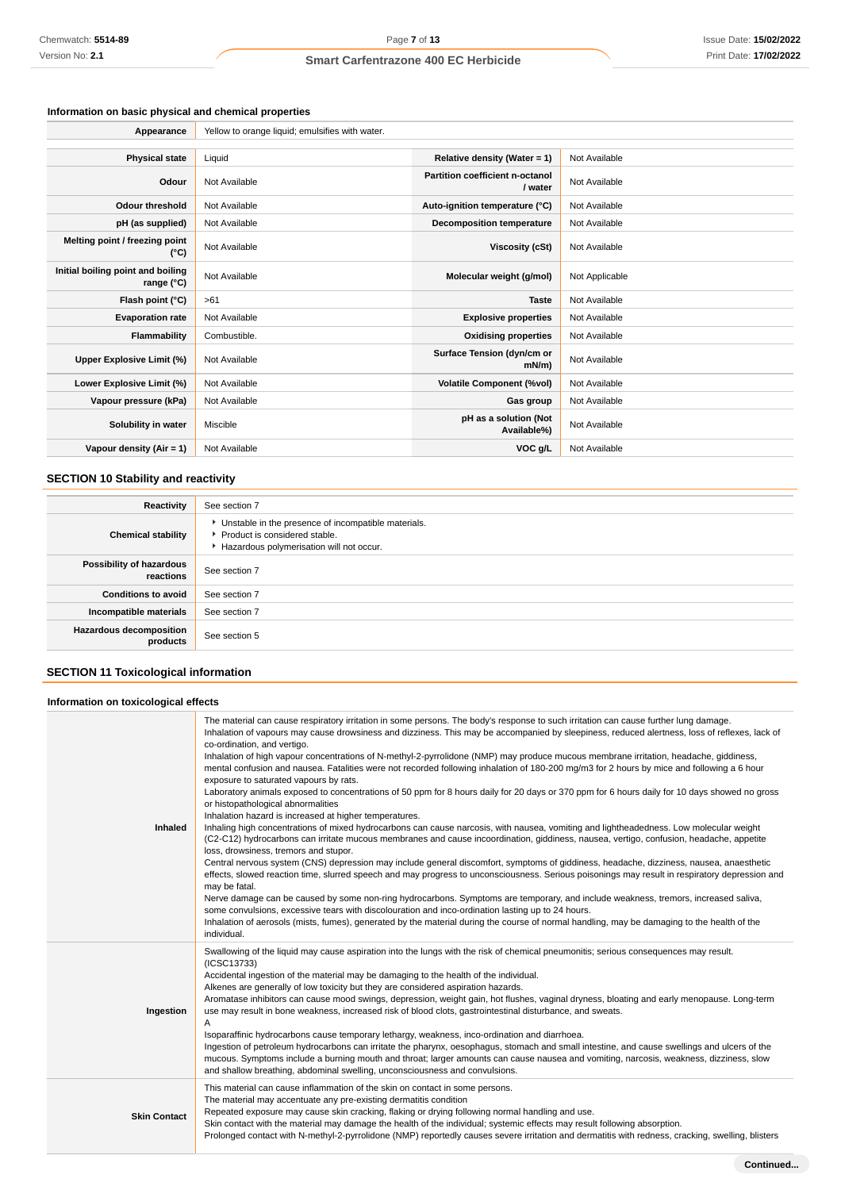### **Information on basic physical and chemical properties**

| Appearance                                               | Yellow to orange liquid; emulsifies with water. |                                            |                |
|----------------------------------------------------------|-------------------------------------------------|--------------------------------------------|----------------|
|                                                          |                                                 |                                            |                |
| <b>Physical state</b>                                    | Liquid                                          | Relative density (Water = $1$ )            | Not Available  |
| Odour                                                    | Not Available                                   | Partition coefficient n-octanol<br>/ water | Not Available  |
| <b>Odour threshold</b>                                   | Not Available                                   | Auto-ignition temperature (°C)             | Not Available  |
| pH (as supplied)                                         | Not Available                                   | <b>Decomposition temperature</b>           | Not Available  |
| Melting point / freezing point<br>(°C)                   | Not Available                                   | Viscosity (cSt)                            | Not Available  |
| Initial boiling point and boiling<br>range $(^{\circ}C)$ | Not Available                                   | Molecular weight (g/mol)                   | Not Applicable |
| Flash point (°C)                                         | >61                                             | <b>Taste</b>                               | Not Available  |
| <b>Evaporation rate</b>                                  | Not Available                                   | <b>Explosive properties</b>                | Not Available  |
| Flammability                                             | Combustible.                                    | <b>Oxidising properties</b>                | Not Available  |
| Upper Explosive Limit (%)                                | Not Available                                   | Surface Tension (dyn/cm or<br>$mN/m$ )     | Not Available  |
| Lower Explosive Limit (%)                                | Not Available                                   | <b>Volatile Component (%vol)</b>           | Not Available  |
| Vapour pressure (kPa)                                    | Not Available                                   | Gas group                                  | Not Available  |
| Solubility in water                                      | Miscible                                        | pH as a solution (Not<br>Available%)       | Not Available  |
| Vapour density $(Air = 1)$                               | Not Available                                   | VOC g/L                                    | Not Available  |

### **SECTION 10 Stability and reactivity**

| Reactivity                                 | See section 7                                                                                                                      |
|--------------------------------------------|------------------------------------------------------------------------------------------------------------------------------------|
| <b>Chemical stability</b>                  | • Unstable in the presence of incompatible materials.<br>Product is considered stable.<br>Hazardous polymerisation will not occur. |
| Possibility of hazardous<br>reactions      | See section 7                                                                                                                      |
| <b>Conditions to avoid</b>                 | See section 7                                                                                                                      |
| Incompatible materials                     | See section 7                                                                                                                      |
| <b>Hazardous decomposition</b><br>products | See section 5                                                                                                                      |

### **SECTION 11 Toxicological information**

#### **Information on toxicological effects**

| <b>Inhaled</b>      | The material can cause respiratory irritation in some persons. The body's response to such irritation can cause further lung damage.<br>Inhalation of vapours may cause drowsiness and dizziness. This may be accompanied by sleepiness, reduced alertness, loss of reflexes, lack of<br>co-ordination, and vertigo.<br>Inhalation of high vapour concentrations of N-methyl-2-pyrrolidone (NMP) may produce mucous membrane irritation, headache, giddiness,<br>mental confusion and nausea. Fatalities were not recorded following inhalation of 180-200 mg/m3 for 2 hours by mice and following a 6 hour<br>exposure to saturated vapours by rats.<br>Laboratory animals exposed to concentrations of 50 ppm for 8 hours daily for 20 days or 370 ppm for 6 hours daily for 10 days showed no gross<br>or histopathological abnormalities<br>Inhalation hazard is increased at higher temperatures.<br>Inhaling high concentrations of mixed hydrocarbons can cause narcosis, with nausea, vomiting and lightheadedness. Low molecular weight<br>(C2-C12) hydrocarbons can irritate mucous membranes and cause incoordination, giddiness, nausea, vertigo, confusion, headache, appetite<br>loss, drowsiness, tremors and stupor.<br>Central nervous system (CNS) depression may include general discomfort, symptoms of giddiness, headache, dizziness, nausea, anaesthetic<br>effects, slowed reaction time, slurred speech and may progress to unconsciousness. Serious poisonings may result in respiratory depression and<br>may be fatal.<br>Nerve damage can be caused by some non-ring hydrocarbons. Symptoms are temporary, and include weakness, tremors, increased saliva,<br>some convulsions, excessive tears with discolouration and inco-ordination lasting up to 24 hours.<br>Inhalation of aerosols (mists, fumes), generated by the material during the course of normal handling, may be damaging to the health of the<br>individual. |
|---------------------|-------------------------------------------------------------------------------------------------------------------------------------------------------------------------------------------------------------------------------------------------------------------------------------------------------------------------------------------------------------------------------------------------------------------------------------------------------------------------------------------------------------------------------------------------------------------------------------------------------------------------------------------------------------------------------------------------------------------------------------------------------------------------------------------------------------------------------------------------------------------------------------------------------------------------------------------------------------------------------------------------------------------------------------------------------------------------------------------------------------------------------------------------------------------------------------------------------------------------------------------------------------------------------------------------------------------------------------------------------------------------------------------------------------------------------------------------------------------------------------------------------------------------------------------------------------------------------------------------------------------------------------------------------------------------------------------------------------------------------------------------------------------------------------------------------------------------------------------------------------------------------------------------------------------------------------------------------------|
| Ingestion           | Swallowing of the liquid may cause aspiration into the lungs with the risk of chemical pneumonitis; serious consequences may result.<br>(ICSC13733)<br>Accidental ingestion of the material may be damaging to the health of the individual.<br>Alkenes are generally of low toxicity but they are considered aspiration hazards.<br>Aromatase inhibitors can cause mood swings, depression, weight gain, hot flushes, vaginal dryness, bloating and early menopause. Long-term<br>use may result in bone weakness, increased risk of blood clots, gastrointestinal disturbance, and sweats.<br>Α<br>Isoparaffinic hydrocarbons cause temporary lethargy, weakness, inco-ordination and diarrhoea.<br>Ingestion of petroleum hydrocarbons can irritate the pharynx, oesophagus, stomach and small intestine, and cause swellings and ulcers of the<br>mucous. Symptoms include a burning mouth and throat; larger amounts can cause nausea and vomiting, narcosis, weakness, dizziness, slow<br>and shallow breathing, abdominal swelling, unconsciousness and convulsions.                                                                                                                                                                                                                                                                                                                                                                                                                                                                                                                                                                                                                                                                                                                                                                                                                                                                                 |
| <b>Skin Contact</b> | This material can cause inflammation of the skin on contact in some persons.<br>The material may accentuate any pre-existing dermatitis condition<br>Repeated exposure may cause skin cracking, flaking or drying following normal handling and use.<br>Skin contact with the material may damage the health of the individual; systemic effects may result following absorption.<br>Prolonged contact with N-methyl-2-pyrrolidone (NMP) reportedly causes severe irritation and dermatitis with redness, cracking, swelling, blisters                                                                                                                                                                                                                                                                                                                                                                                                                                                                                                                                                                                                                                                                                                                                                                                                                                                                                                                                                                                                                                                                                                                                                                                                                                                                                                                                                                                                                      |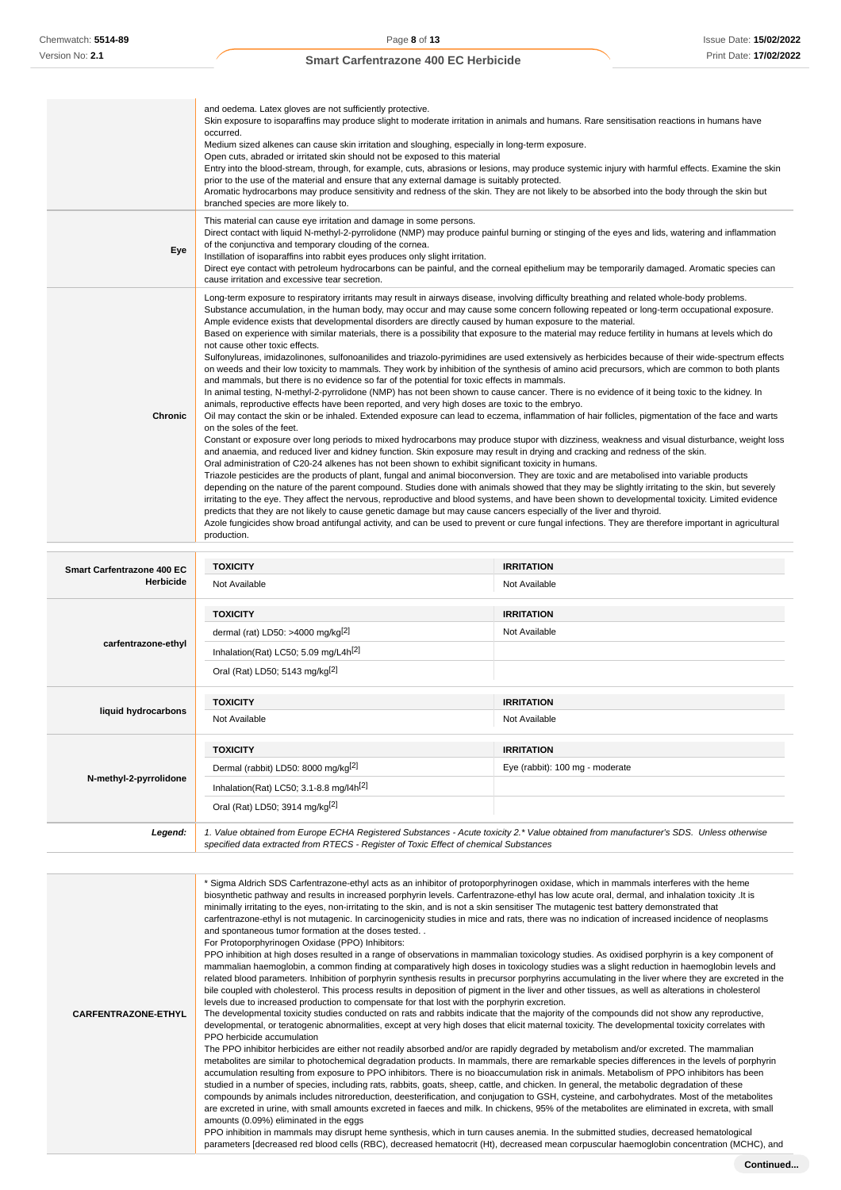|                | Open cuts, abraded or irritated skin should not be exposed to this material<br>Entry into the blood-stream, through, for example, cuts, abrasions or lesions, may produce systemic injury with harmful effects. Examine the skin<br>prior to the use of the material and ensure that any external damage is suitably protected.<br>Aromatic hydrocarbons may produce sensitivity and redness of the skin. They are not likely to be absorbed into the body through the skin but<br>branched species are more likely to.                                                                                                                                                                                                                                                                                                                                                                                                                                                                                                                                                                                                                                                                                                                                                                                                                                                                                                                                                                                                                                                                                                                                                                                                                                                                                                                                                                                                                                                                                                                                                                                                                                                                                                                                                                                                                                                                                                                                                                                                                                                    |
|----------------|----------------------------------------------------------------------------------------------------------------------------------------------------------------------------------------------------------------------------------------------------------------------------------------------------------------------------------------------------------------------------------------------------------------------------------------------------------------------------------------------------------------------------------------------------------------------------------------------------------------------------------------------------------------------------------------------------------------------------------------------------------------------------------------------------------------------------------------------------------------------------------------------------------------------------------------------------------------------------------------------------------------------------------------------------------------------------------------------------------------------------------------------------------------------------------------------------------------------------------------------------------------------------------------------------------------------------------------------------------------------------------------------------------------------------------------------------------------------------------------------------------------------------------------------------------------------------------------------------------------------------------------------------------------------------------------------------------------------------------------------------------------------------------------------------------------------------------------------------------------------------------------------------------------------------------------------------------------------------------------------------------------------------------------------------------------------------------------------------------------------------------------------------------------------------------------------------------------------------------------------------------------------------------------------------------------------------------------------------------------------------------------------------------------------------------------------------------------------------------------------------------------------------------------------------------------------------|
| Eye            | This material can cause eye irritation and damage in some persons.<br>Direct contact with liquid N-methyl-2-pyrrolidone (NMP) may produce painful burning or stinging of the eyes and lids, watering and inflammation<br>of the conjunctiva and temporary clouding of the cornea.<br>Instillation of isoparaffins into rabbit eyes produces only slight irritation.<br>Direct eye contact with petroleum hydrocarbons can be painful, and the corneal epithelium may be temporarily damaged. Aromatic species can<br>cause irritation and excessive tear secretion.                                                                                                                                                                                                                                                                                                                                                                                                                                                                                                                                                                                                                                                                                                                                                                                                                                                                                                                                                                                                                                                                                                                                                                                                                                                                                                                                                                                                                                                                                                                                                                                                                                                                                                                                                                                                                                                                                                                                                                                                        |
| <b>Chronic</b> | Long-term exposure to respiratory irritants may result in airways disease, involving difficulty breathing and related whole-body problems.<br>Substance accumulation, in the human body, may occur and may cause some concern following repeated or long-term occupational exposure.<br>Ample evidence exists that developmental disorders are directly caused by human exposure to the material.<br>Based on experience with similar materials, there is a possibility that exposure to the material may reduce fertility in humans at levels which do<br>not cause other toxic effects.<br>Sulfonylureas, imidazolinones, sulfonoanilides and triazolo-pyrimidines are used extensively as herbicides because of their wide-spectrum effects<br>on weeds and their low toxicity to mammals. They work by inhibition of the synthesis of amino acid precursors, which are common to both plants<br>and mammals, but there is no evidence so far of the potential for toxic effects in mammals.<br>In animal testing, N-methyl-2-pyrrolidone (NMP) has not been shown to cause cancer. There is no evidence of it being toxic to the kidney. In<br>animals, reproductive effects have been reported, and very high doses are toxic to the embryo.<br>Oil may contact the skin or be inhaled. Extended exposure can lead to eczema, inflammation of hair follicles, pigmentation of the face and warts<br>on the soles of the feet.<br>Constant or exposure over long periods to mixed hydrocarbons may produce stupor with dizziness, weakness and visual disturbance, weight loss<br>and anaemia, and reduced liver and kidney function. Skin exposure may result in drying and cracking and redness of the skin.<br>Oral administration of C20-24 alkenes has not been shown to exhibit significant toxicity in humans.<br>Triazole pesticides are the products of plant, fungal and animal bioconversion. They are toxic and are metabolised into variable products<br>depending on the nature of the parent compound. Studies done with animals showed that they may be slightly irritating to the skin, but severely<br>irritating to the eye. They affect the nervous, reproductive and blood systems, and have been shown to developmental toxicity. Limited evidence<br>predicts that they are not likely to cause genetic damage but may cause cancers especially of the liver and thyroid.<br>Azole fungicides show broad antifungal activity, and can be used to prevent or cure fungal infections. They are therefore important in agricultural<br>production. |

| Smart Carfentrazone 400 EC<br><b>Herbicide</b> | <b>TOXICITY</b>                                                                                                                                                                                                                 | <b>IRRITATION</b>               |
|------------------------------------------------|---------------------------------------------------------------------------------------------------------------------------------------------------------------------------------------------------------------------------------|---------------------------------|
|                                                | Not Available                                                                                                                                                                                                                   | Not Available                   |
|                                                | <b>TOXICITY</b>                                                                                                                                                                                                                 | <b>IRRITATION</b>               |
|                                                | dermal (rat) LD50: >4000 mg/kg $^{[2]}$                                                                                                                                                                                         | Not Available                   |
| carfentrazone-ethyl                            | Inhalation(Rat) LC50; 5.09 mg/L4h <sup>[2]</sup>                                                                                                                                                                                |                                 |
|                                                | Oral (Rat) LD50; 5143 mg/kg <sup>[2]</sup>                                                                                                                                                                                      |                                 |
|                                                | <b>TOXICITY</b>                                                                                                                                                                                                                 | <b>IRRITATION</b>               |
| liquid hydrocarbons                            | Not Available                                                                                                                                                                                                                   | Not Available                   |
|                                                | <b>TOXICITY</b>                                                                                                                                                                                                                 | <b>IRRITATION</b>               |
|                                                | Dermal (rabbit) LD50: 8000 mg/kg <sup>[2]</sup>                                                                                                                                                                                 | Eye (rabbit): 100 mg - moderate |
| N-methyl-2-pyrrolidone                         | Inhalation(Rat) LC50; 3.1-8.8 mg/l4h <sup>[2]</sup>                                                                                                                                                                             |                                 |
|                                                | Oral (Rat) LD50; 3914 mg/kg[2]                                                                                                                                                                                                  |                                 |
| Legend:                                        | 1. Value obtained from Europe ECHA Registered Substances - Acute toxicity 2.* Value obtained from manufacturer's SDS. Unless otherwise<br>specified data extracted from RTECS - Register of Toxic Effect of chemical Substances |                                 |

**CARFENTRAZONE-ETHYL** \* Sigma Aldrich SDS Carfentrazone-ethyl acts as an inhibitor of protoporphyrinogen oxidase, which in mammals interferes with the heme biosynthetic pathway and results in increased porphyrin levels. Carfentrazone-ethyl has low acute oral, dermal, and inhalation toxicity .It is minimally irritating to the eyes, non-irritating to the skin, and is not a skin sensitiser The mutagenic test battery demonstrated that carfentrazone-ethyl is not mutagenic. In carcinogenicity studies in mice and rats, there was no indication of increased incidence of neoplasms and spontaneous tumor formation at the doses tested. . For Protoporphyrinogen Oxidase (PPO) Inhibitors: PPO inhibition at high doses resulted in a range of observations in mammalian toxicology studies. As oxidised porphyrin is a key component of mammalian haemoglobin, a common finding at comparatively high doses in toxicology studies was a slight reduction in haemoglobin levels and related blood parameters. Inhibition of porphyrin synthesis results in precursor porphyrins accumulating in the liver where they are excreted in the bile coupled with cholesterol. This process results in deposition of pigment in the liver and other tissues, as well as alterations in cholesterol levels due to increased production to compensate for that lost with the porphyrin excretion. The developmental toxicity studies conducted on rats and rabbits indicate that the majority of the compounds did not show any reproductive, developmental, or teratogenic abnormalities, except at very high doses that elicit maternal toxicity. The developmental toxicity correlates with PPO herbicide accumulation The PPO inhibitor herbicides are either not readily absorbed and/or are rapidly degraded by metabolism and/or excreted. The mammalian metabolites are similar to photochemical degradation products. In mammals, there are remarkable species differences in the levels of porphyrin accumulation resulting from exposure to PPO inhibitors. There is no bioaccumulation risk in animals. Metabolism of PPO inhibitors has been studied in a number of species, including rats, rabbits, goats, sheep, cattle, and chicken. In general, the metabolic degradation of these compounds by animals includes nitroreduction, deesterification, and conjugation to GSH, cysteine, and carbohydrates. Most of the metabolites are excreted in urine, with small amounts excreted in faeces and milk. In chickens, 95% of the metabolites are eliminated in excreta, with small amounts (0.09%) eliminated in the eggs PPO inhibition in mammals may disrupt heme synthesis, which in turn causes anemia. In the submitted studies, decreased hematological parameters [decreased red blood cells (RBC), decreased hematocrit (Ht), decreased mean corpuscular haemoglobin concentration (MCHC), and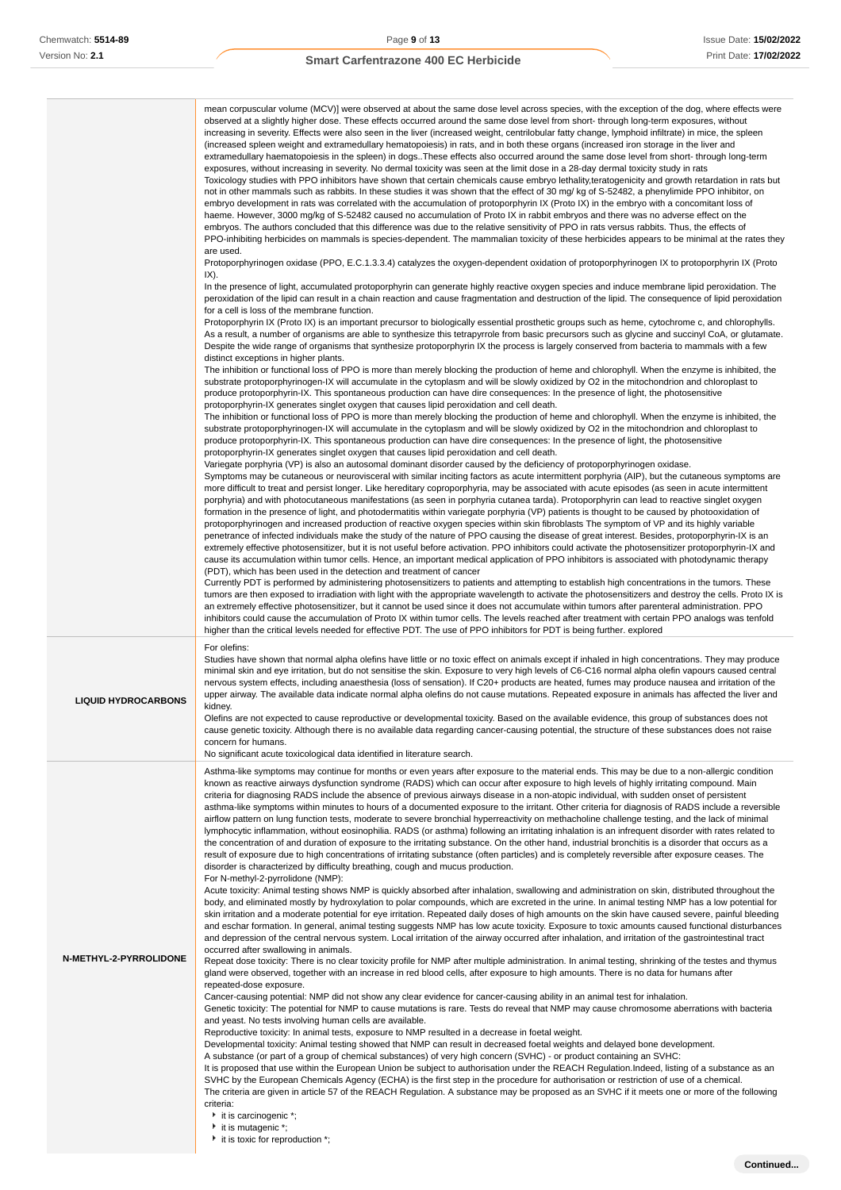|                            | mean corpuscular volume (MCV)] were observed at about the same dose level across species, with the exception of the dog, where effects were<br>observed at a slightly higher dose. These effects occurred around the same dose level from short-through long-term exposures, without<br>increasing in severity. Effects were also seen in the liver (increased weight, centrilobular fatty change, lymphoid infiltrate) in mice, the spleen<br>(increased spleen weight and extramedullary hematopoiesis) in rats, and in both these organs (increased iron storage in the liver and<br>extramedullary haematopoiesis in the spleen) in dogs. These effects also occurred around the same dose level from short- through long-term<br>exposures, without increasing in severity. No dermal toxicity was seen at the limit dose in a 28-day dermal toxicity study in rats<br>Toxicology studies with PPO inhibitors have shown that certain chemicals cause embryo lethality, teratogenicity and growth retardation in rats but<br>not in other mammals such as rabbits. In these studies it was shown that the effect of 30 mg/ kg of S-52482, a phenylimide PPO inhibitor, on<br>embryo development in rats was correlated with the accumulation of protoporphyrin IX (Proto IX) in the embryo with a concomitant loss of<br>haeme. However, 3000 mg/kg of S-52482 caused no accumulation of Proto IX in rabbit embryos and there was no adverse effect on the<br>embryos. The authors concluded that this difference was due to the relative sensitivity of PPO in rats versus rabbits. Thus, the effects of<br>PPO-inhibiting herbicides on mammals is species-dependent. The mammalian toxicity of these herbicides appears to be minimal at the rates they<br>are used.<br>Protoporphyrinogen oxidase (PPO, E.C.1.3.3.4) catalyzes the oxygen-dependent oxidation of protoporphyrinogen IX to protoporphyrin IX (Proto<br>IX).<br>In the presence of light, accumulated protoporphyrin can generate highly reactive oxygen species and induce membrane lipid peroxidation. The<br>peroxidation of the lipid can result in a chain reaction and cause fragmentation and destruction of the lipid. The consequence of lipid peroxidation<br>for a cell is loss of the membrane function.<br>Protoporphyrin IX (Proto IX) is an important precursor to biologically essential prosthetic groups such as heme, cytochrome c, and chlorophylls.<br>As a result, a number of organisms are able to synthesize this tetrapyrrole from basic precursors such as glycine and succinyl CoA, or glutamate.<br>Despite the wide range of organisms that synthesize protoporphyrin IX the process is largely conserved from bacteria to mammals with a few<br>distinct exceptions in higher plants.<br>The inhibition or functional loss of PPO is more than merely blocking the production of heme and chlorophyll. When the enzyme is inhibited, the<br>substrate protoporphyrinogen-IX will accumulate in the cytoplasm and will be slowly oxidized by O2 in the mitochondrion and chloroplast to<br>produce protoporphyrin-IX. This spontaneous production can have dire consequences: In the presence of light, the photosensitive<br>protoporphyrin-IX generates singlet oxygen that causes lipid peroxidation and cell death.<br>The inhibition or functional loss of PPO is more than merely blocking the production of heme and chlorophyll. When the enzyme is inhibited, the<br>substrate protoporphyrinogen-IX will accumulate in the cytoplasm and will be slowly oxidized by O2 in the mitochondrion and chloroplast to<br>produce protoporphyrin-IX. This spontaneous production can have dire consequences: In the presence of light, the photosensitive<br>protoporphyrin-IX generates singlet oxygen that causes lipid peroxidation and cell death.<br>Variegate porphyria (VP) is also an autosomal dominant disorder caused by the deficiency of protoporphyrinogen oxidase.<br>Symptoms may be cutaneous or neurovisceral with similar inciting factors as acute intermittent porphyria (AIP), but the cutaneous symptoms are<br>more difficult to treat and persist longer. Like hereditary coproporphyria, may be associated with acute episodes (as seen in acute intermittent<br>porphyria) and with photocutaneous manifestations (as seen in porphyria cutanea tarda). Protoporphyrin can lead to reactive singlet oxygen<br>formation in the presence of light, and photodermatitis within variegate porphyria (VP) patients is thought to be caused by photooxidation of<br>protoporphyrinogen and increased production of reactive oxygen species within skin fibroblasts The symptom of VP and its highly variable<br>penetrance of infected individuals make the study of the nature of PPO causing the disease of great interest. Besides, protoporphyrin-IX is an<br>extremely effective photosensitizer, but it is not useful before activation. PPO inhibitors could activate the photosensitizer protoporphyrin-IX and<br>cause its accumulation within tumor cells. Hence, an important medical application of PPO inhibitors is associated with photodynamic therapy<br>(PDT), which has been used in the detection and treatment of cancer<br>Currently PDT is performed by administering photosensitizers to patients and attempting to establish high concentrations in the tumors. These<br>tumors are then exposed to irradiation with light with the appropriate wavelength to activate the photosensitizers and destroy the cells. Proto IX is<br>an extremely effective photosensitizer, but it cannot be used since it does not accumulate within tumors after parenteral administration. PPO<br>inhibitors could cause the accumulation of Proto IX within tumor cells. The levels reached after treatment with certain PPO analogs was tenfold |
|----------------------------|------------------------------------------------------------------------------------------------------------------------------------------------------------------------------------------------------------------------------------------------------------------------------------------------------------------------------------------------------------------------------------------------------------------------------------------------------------------------------------------------------------------------------------------------------------------------------------------------------------------------------------------------------------------------------------------------------------------------------------------------------------------------------------------------------------------------------------------------------------------------------------------------------------------------------------------------------------------------------------------------------------------------------------------------------------------------------------------------------------------------------------------------------------------------------------------------------------------------------------------------------------------------------------------------------------------------------------------------------------------------------------------------------------------------------------------------------------------------------------------------------------------------------------------------------------------------------------------------------------------------------------------------------------------------------------------------------------------------------------------------------------------------------------------------------------------------------------------------------------------------------------------------------------------------------------------------------------------------------------------------------------------------------------------------------------------------------------------------------------------------------------------------------------------------------------------------------------------------------------------------------------------------------------------------------------------------------------------------------------------------------------------------------------------------------------------------------------------------------------------------------------------------------------------------------------------------------------------------------------------------------------------------------------------------------------------------------------------------------------------------------------------------------------------------------------------------------------------------------------------------------------------------------------------------------------------------------------------------------------------------------------------------------------------------------------------------------------------------------------------------------------------------------------------------------------------------------------------------------------------------------------------------------------------------------------------------------------------------------------------------------------------------------------------------------------------------------------------------------------------------------------------------------------------------------------------------------------------------------------------------------------------------------------------------------------------------------------------------------------------------------------------------------------------------------------------------------------------------------------------------------------------------------------------------------------------------------------------------------------------------------------------------------------------------------------------------------------------------------------------------------------------------------------------------------------------------------------------------------------------------------------------------------------------------------------------------------------------------------------------------------------------------------------------------------------------------------------------------------------------------------------------------------------------------------------------------------------------------------------------------------------------------------------------------------------------------------------------------------------------------------------------------------------------------------------------------------------------------------------------------------------------------------------------------------------------------------------------------------------------------------------------------------------------------------------------------------------------------------------------------------------------------------------------------------------------------------------------------------------------------------------------------------------------------------------------------------------------------------------------------------------------------------------------------------------------------------------------------------------------------------------------------------------------------------------------------------------------------------------------------------------------------------------------------------------------------------------------------------------------------------------------------------------------------------------------------------------------------------------------------------------------|
| <b>LIQUID HYDROCARBONS</b> | higher than the critical levels needed for effective PDT. The use of PPO inhibitors for PDT is being further. explored<br>For olefins:<br>Studies have shown that normal alpha olefins have little or no toxic effect on animals except if inhaled in high concentrations. They may produce<br>minimal skin and eye irritation, but do not sensitise the skin. Exposure to very high levels of C6-C16 normal alpha olefin vapours caused central<br>nervous system effects, including anaesthesia (loss of sensation). If C20+ products are heated, fumes may produce nausea and irritation of the<br>upper airway. The available data indicate normal alpha olefins do not cause mutations. Repeated exposure in animals has affected the liver and<br>kidney.<br>Olefins are not expected to cause reproductive or developmental toxicity. Based on the available evidence, this group of substances does not<br>cause genetic toxicity. Although there is no available data regarding cancer-causing potential, the structure of these substances does not raise<br>concern for humans.<br>No significant acute toxicological data identified in literature search.                                                                                                                                                                                                                                                                                                                                                                                                                                                                                                                                                                                                                                                                                                                                                                                                                                                                                                                                                                                                                                                                                                                                                                                                                                                                                                                                                                                                                                                                                                                                                                                                                                                                                                                                                                                                                                                                                                                                                                                                                                                                                                                                                                                                                                                                                                                                                                                                                                                                                                                                                                                                                                                                                                                                                                                                                                                                                                                                                                                                                                                                                                                                                                                                                                                                                                                                                                                                                                                                                                                                                                                                                                                                                                                                                                                                                                                                                                                                                                                                                                                                                                                                                                                                                                                                                                                                                                                                                                                                                                                                                                                                                                                                                                                   |
| N-METHYL-2-PYRROLIDONE     | Asthma-like symptoms may continue for months or even years after exposure to the material ends. This may be due to a non-allergic condition<br>known as reactive airways dysfunction syndrome (RADS) which can occur after exposure to high levels of highly irritating compound. Main<br>criteria for diagnosing RADS include the absence of previous airways disease in a non-atopic individual, with sudden onset of persistent<br>asthma-like symptoms within minutes to hours of a documented exposure to the irritant. Other criteria for diagnosis of RADS include a reversible<br>airflow pattern on lung function tests, moderate to severe bronchial hyperreactivity on methacholine challenge testing, and the lack of minimal<br>lymphocytic inflammation, without eosinophilia. RADS (or asthma) following an irritating inhalation is an infrequent disorder with rates related to<br>the concentration of and duration of exposure to the irritating substance. On the other hand, industrial bronchitis is a disorder that occurs as a<br>result of exposure due to high concentrations of irritating substance (often particles) and is completely reversible after exposure ceases. The<br>disorder is characterized by difficulty breathing, cough and mucus production.<br>For N-methyl-2-pyrrolidone (NMP):<br>Acute toxicity: Animal testing shows NMP is quickly absorbed after inhalation, swallowing and administration on skin, distributed throughout the<br>body, and eliminated mostly by hydroxylation to polar compounds, which are excreted in the urine. In animal testing NMP has a low potential for<br>skin irritation and a moderate potential for eye irritation. Repeated daily doses of high amounts on the skin have caused severe, painful bleeding<br>and eschar formation. In general, animal testing suggests NMP has low acute toxicity. Exposure to toxic amounts caused functional disturbances<br>and depression of the central nervous system. Local irritation of the airway occurred after inhalation, and irritation of the gastrointestinal tract<br>occurred after swallowing in animals.<br>Repeat dose toxicity: There is no clear toxicity profile for NMP after multiple administration. In animal testing, shrinking of the testes and thymus<br>gland were observed, together with an increase in red blood cells, after exposure to high amounts. There is no data for humans after<br>repeated-dose exposure.<br>Cancer-causing potential: NMP did not show any clear evidence for cancer-causing ability in an animal test for inhalation.<br>Genetic toxicity: The potential for NMP to cause mutations is rare. Tests do reveal that NMP may cause chromosome aberrations with bacteria<br>and yeast. No tests involving human cells are available.<br>Reproductive toxicity: In animal tests, exposure to NMP resulted in a decrease in foetal weight.<br>Developmental toxicity: Animal testing showed that NMP can result in decreased foetal weights and delayed bone development.<br>A substance (or part of a group of chemical substances) of very high concern (SVHC) - or product containing an SVHC:<br>It is proposed that use within the European Union be subject to authorisation under the REACH Regulation. Indeed, listing of a substance as an<br>SVHC by the European Chemicals Agency (ECHA) is the first step in the procedure for authorisation or restriction of use of a chemical.<br>The criteria are given in article 57 of the REACH Regulation. A substance may be proposed as an SVHC if it meets one or more of the following<br>criteria:<br>$\cdot$ it is carcinogenic $\cdot$ ;<br>it is mutagenic *;<br>it is toxic for reproduction *;                                                                                                                                                                                                                                                                                                                                                                                                                                                                                                                                                                                                                                                                                                                                                                                                                                                                                                                                                                                                                                                                                                                                                                                                                                                                                                                                                                                                                                                                                                                                                                                                                                                                                                                                                                                                                                                                                                                                                                                                                                                                                                                                              |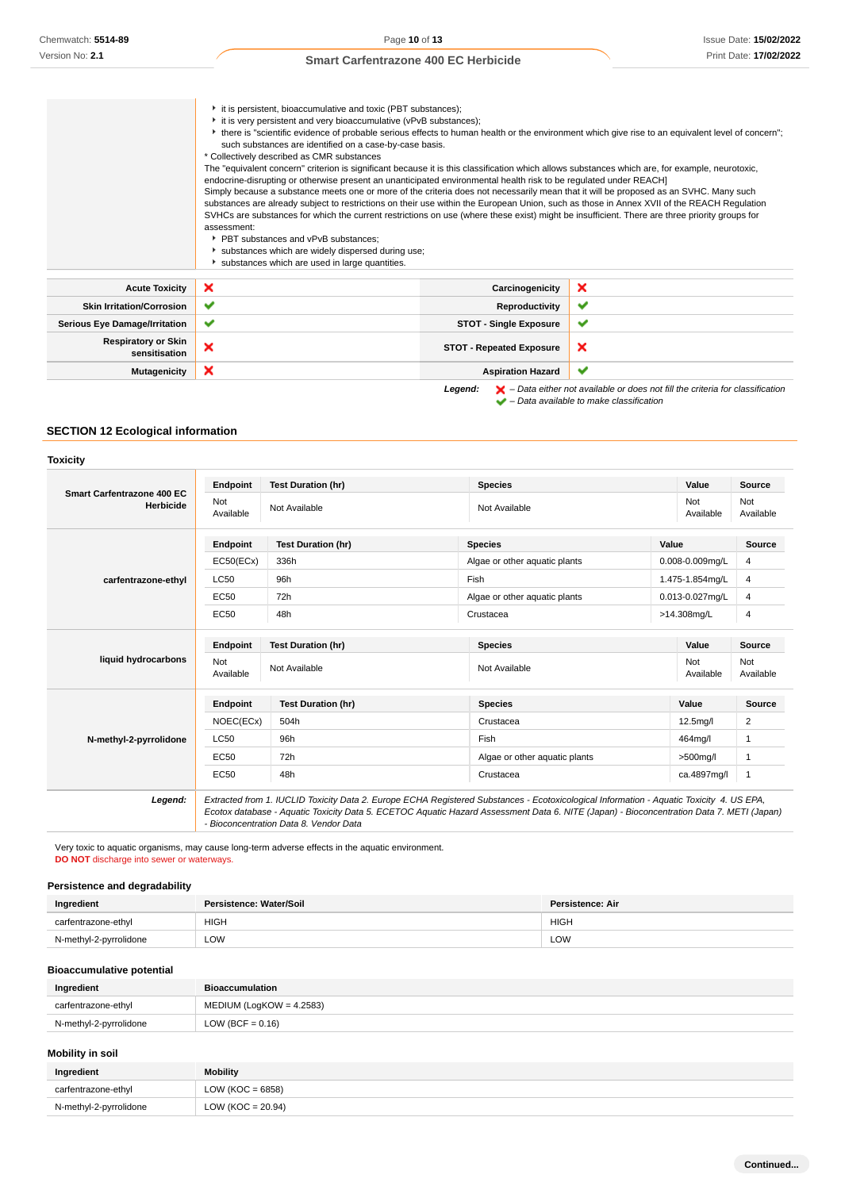|                                             | it is persistent, bioaccumulative and toxic (PBT substances);<br>it is very persistent and very bioaccumulative (vPvB substances);<br>• there is "scientific evidence of probable serious effects to human health or the environment which give rise to an equivalent level of concern";<br>such substances are identified on a case-by-case basis.<br>* Collectively described as CMR substances<br>The "equivalent concern" criterion is significant because it is this classification which allows substances which are, for example, neurotoxic,<br>endocrine-disrupting or otherwise present an unanticipated environmental health risk to be regulated under REACH]<br>Simply because a substance meets one or more of the criteria does not necessarily mean that it will be proposed as an SVHC. Many such<br>substances are already subject to restrictions on their use within the European Union, such as those in Annex XVII of the REACH Regulation<br>SVHCs are substances for which the current restrictions on use (where these exist) might be insufficient. There are three priority groups for<br>assessment:<br>▶ PBT substances and vPvB substances:<br>substances which are widely dispersed during use;<br>substances which are used in large quantities. |                                 |   |
|---------------------------------------------|----------------------------------------------------------------------------------------------------------------------------------------------------------------------------------------------------------------------------------------------------------------------------------------------------------------------------------------------------------------------------------------------------------------------------------------------------------------------------------------------------------------------------------------------------------------------------------------------------------------------------------------------------------------------------------------------------------------------------------------------------------------------------------------------------------------------------------------------------------------------------------------------------------------------------------------------------------------------------------------------------------------------------------------------------------------------------------------------------------------------------------------------------------------------------------------------------------------------------------------------------------------------------------|---------------------------------|---|
| <b>Acute Toxicity</b>                       | ×                                                                                                                                                                                                                                                                                                                                                                                                                                                                                                                                                                                                                                                                                                                                                                                                                                                                                                                                                                                                                                                                                                                                                                                                                                                                                | Carcinogenicity                 | × |
| <b>Skin Irritation/Corrosion</b>            | ✔                                                                                                                                                                                                                                                                                                                                                                                                                                                                                                                                                                                                                                                                                                                                                                                                                                                                                                                                                                                                                                                                                                                                                                                                                                                                                | Reproductivity                  | ✔ |
| <b>Serious Eye Damage/Irritation</b>        | ✔                                                                                                                                                                                                                                                                                                                                                                                                                                                                                                                                                                                                                                                                                                                                                                                                                                                                                                                                                                                                                                                                                                                                                                                                                                                                                | <b>STOT - Single Exposure</b>   | ✔ |
| <b>Respiratory or Skin</b><br>sensitisation | ×                                                                                                                                                                                                                                                                                                                                                                                                                                                                                                                                                                                                                                                                                                                                                                                                                                                                                                                                                                                                                                                                                                                                                                                                                                                                                | <b>STOT - Repeated Exposure</b> | × |
| <b>Mutagenicity</b>                         | ×                                                                                                                                                                                                                                                                                                                                                                                                                                                                                                                                                                                                                                                                                                                                                                                                                                                                                                                                                                                                                                                                                                                                                                                                                                                                                | <b>Aspiration Hazard</b>        | ✔ |

Legend:  $\blacktriangleright$  - Data either not available or does not fill the criteria for classification  $\blacktriangleright$  – Data available to make classification

### **SECTION 12 Ecological information**

#### **Toxicity**

|                                         | Endpoint         | <b>Test Duration (hr)</b> | <b>Species</b>                    |                          | Value           | Source           |
|-----------------------------------------|------------------|---------------------------|-----------------------------------|--------------------------|-----------------|------------------|
| Smart Carfentrazone 400 EC<br>Herbicide | Not<br>Available | Not Available             | Not<br>Not Available<br>Available |                          |                 | Not<br>Available |
|                                         | Endpoint         | <b>Test Duration (hr)</b> | <b>Species</b>                    | Value                    |                 | Source           |
|                                         | EC50(ECx)        | 336h                      | Algae or other aquatic plants     |                          | 0.008-0.009mg/L | 4                |
| carfentrazone-ethyl                     | <b>LC50</b>      | 96h                       | Fish                              |                          | 1.475-1.854mg/L | 4                |
|                                         | EC50             | 72h                       | Algae or other aquatic plants     |                          | 0.013-0.027mg/L | 4                |
|                                         | <b>EC50</b>      | 48h                       | Crustacea                         | >14.308mg/L              |                 | 4                |
| liquid hydrocarbons                     | Endpoint         | <b>Test Duration (hr)</b> | <b>Species</b>                    | Value                    |                 | <b>Source</b>    |
|                                         | Not<br>Available | Not Available             | Not Available                     | Not                      | Available       | Not<br>Available |
|                                         | Endpoint         | <b>Test Duration (hr)</b> | <b>Species</b>                    | Value                    |                 | <b>Source</b>    |
|                                         | NOEC(ECx)        | 504h                      | Crustacea                         | 12.5mg/l                 |                 | 2                |
| N-methyl-2-pyrrolidone                  | <b>LC50</b>      | 96h                       | Fish                              | 464mg/l                  |                 | 1                |
|                                         | <b>EC50</b>      | 72h                       | Algae or other aquatic plants     | $>500$ mg/l              |                 | 1                |
|                                         | EC50             | 48h                       |                                   | Crustacea<br>ca.4897mg/l |                 | $\mathbf{1}$     |

Very toxic to aquatic organisms, may cause long-term adverse effects in the aquatic environment. **DO NOT** discharge into sewer or waterways.

### **Persistence and degradability**

| Ingredient             | Persistence: Water/Soil | Persistence: Air |
|------------------------|-------------------------|------------------|
| carfentrazone-ethyl    | <b>HIGH</b>             | <b>HIGH</b>      |
| N-methyl-2-pyrrolidone | LOW                     | LOW              |

### **Bioaccumulative potential**

| Ingredient             | <b>Bioaccumulation</b>     |
|------------------------|----------------------------|
| carfentrazone-ethyl    | $MEDIUM (LogKOW = 4.2583)$ |
| N-methyl-2-pyrrolidone | LOW (BCF = $0.16$ )        |
|                        |                            |

### **Mobility in soil**

| Ingredient             | <b>Mobility</b>       |
|------------------------|-----------------------|
| carfentrazone-ethyl    | LOW ( $KOC = 6858$ )  |
| N-methyl-2-pyrrolidone | LOW ( $KOC = 20.94$ ) |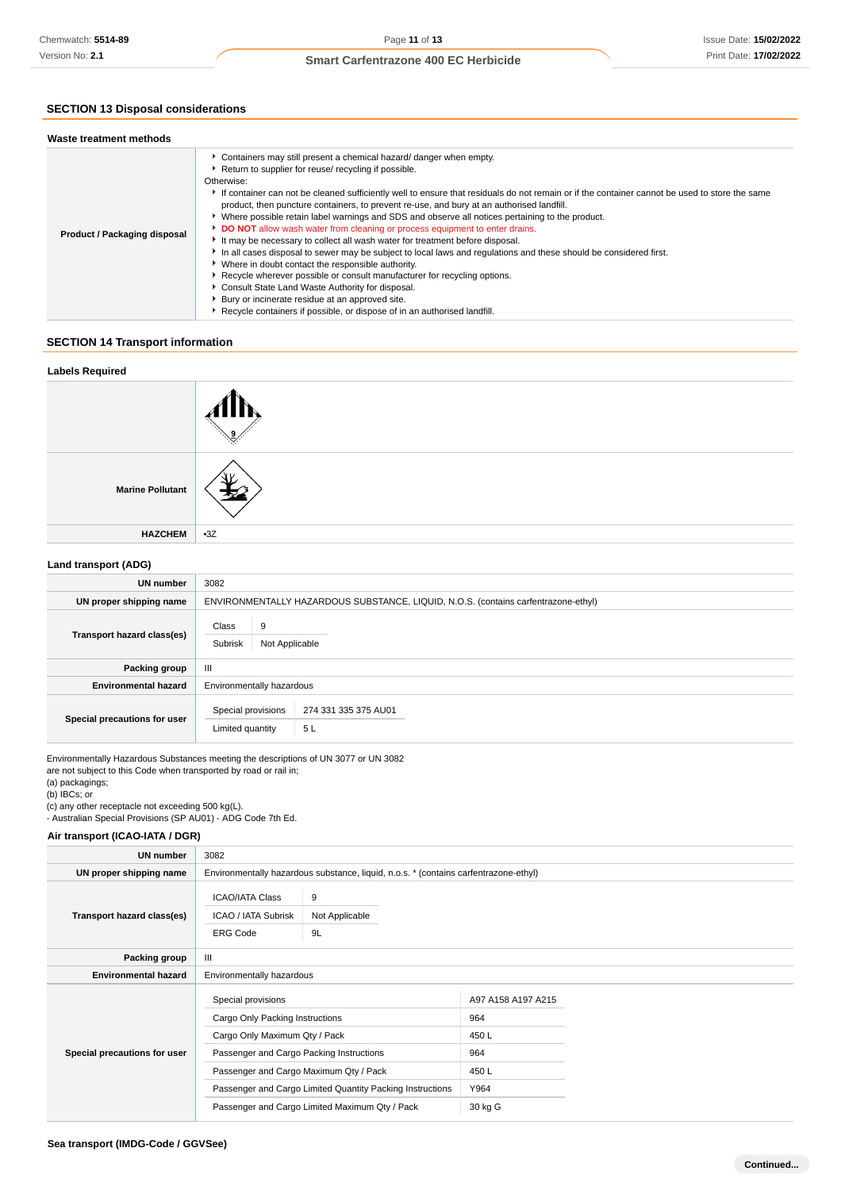## **SECTION 13 Disposal considerations**

| Waste treatment methods      |                                                                                                                                                                                                                                                                                                                                                                                                                                                                                                                                                                                                                                                                                                                                                                                                                                                                                                                                                                                                                                                                                                         |
|------------------------------|---------------------------------------------------------------------------------------------------------------------------------------------------------------------------------------------------------------------------------------------------------------------------------------------------------------------------------------------------------------------------------------------------------------------------------------------------------------------------------------------------------------------------------------------------------------------------------------------------------------------------------------------------------------------------------------------------------------------------------------------------------------------------------------------------------------------------------------------------------------------------------------------------------------------------------------------------------------------------------------------------------------------------------------------------------------------------------------------------------|
| Product / Packaging disposal | Containers may still present a chemical hazard/ danger when empty.<br>Return to supplier for reuse/ recycling if possible.<br>Otherwise:<br>If container can not be cleaned sufficiently well to ensure that residuals do not remain or if the container cannot be used to store the same<br>product, then puncture containers, to prevent re-use, and bury at an authorised landfill.<br>▶ Where possible retain label warnings and SDS and observe all notices pertaining to the product.<br>DO NOT allow wash water from cleaning or process equipment to enter drains.<br>It may be necessary to collect all wash water for treatment before disposal.<br>In all cases disposal to sewer may be subject to local laws and regulations and these should be considered first.<br>• Where in doubt contact the responsible authority.<br>▶ Recycle wherever possible or consult manufacturer for recycling options.<br>Consult State Land Waste Authority for disposal.<br>Bury or incinerate residue at an approved site.<br>Recycle containers if possible, or dispose of in an authorised landfill. |

## **SECTION 14 Transport information**

| <b>Labels Required</b>  |       |
|-------------------------|-------|
|                         |       |
| <b>Marine Pollutant</b> |       |
| <b>HAZCHEM</b>          | $-3Z$ |
|                         |       |

### **Land transport (ADG)**

| <b>UN number</b>             | 3082                                                                               |  |  |
|------------------------------|------------------------------------------------------------------------------------|--|--|
| UN proper shipping name      | ENVIRONMENTALLY HAZARDOUS SUBSTANCE, LIQUID, N.O.S. (contains carfentrazone-ethyl) |  |  |
| Transport hazard class(es)   | Class<br>9<br>Subrisk<br>Not Applicable                                            |  |  |
| <b>Packing group</b>         | Ш                                                                                  |  |  |
| <b>Environmental hazard</b>  | Environmentally hazardous                                                          |  |  |
| Special precautions for user | Special provisions<br>274 331 335 375 AU01<br>5L<br>Limited quantity               |  |  |

Environmentally Hazardous Substances meeting the descriptions of UN 3077 or UN 3082 are not subject to this Code when transported by road or rail in; (a) packagings;

(b) IBCs; or

(c) any other receptacle not exceeding 500 kg(L).

- Australian Special Provisions (SP AU01) - ADG Code 7th Ed.

### **Air transport (ICAO-IATA / DGR)**

| <b>UN number</b>             | 3082                                                                                                                                                                                                                                                                                        |                           |                                                                      |  |
|------------------------------|---------------------------------------------------------------------------------------------------------------------------------------------------------------------------------------------------------------------------------------------------------------------------------------------|---------------------------|----------------------------------------------------------------------|--|
| UN proper shipping name      | Environmentally hazardous substance, liquid, n.o.s. * (contains carfentrazone-ethyl)                                                                                                                                                                                                        |                           |                                                                      |  |
| Transport hazard class(es)   | <b>ICAO/IATA Class</b><br><b>ICAO / IATA Subrisk</b><br><b>ERG Code</b>                                                                                                                                                                                                                     | 9<br>Not Applicable<br>9L |                                                                      |  |
| Packing group                | Ш                                                                                                                                                                                                                                                                                           |                           |                                                                      |  |
| <b>Environmental hazard</b>  | Environmentally hazardous                                                                                                                                                                                                                                                                   |                           |                                                                      |  |
| Special precautions for user | Special provisions<br>Cargo Only Packing Instructions<br>Cargo Only Maximum Qty / Pack<br>Passenger and Cargo Packing Instructions<br>Passenger and Cargo Maximum Qty / Pack<br>Passenger and Cargo Limited Quantity Packing Instructions<br>Passenger and Cargo Limited Maximum Qty / Pack |                           | A97 A158 A197 A215<br>964<br>450 L<br>964<br>450L<br>Y964<br>30 kg G |  |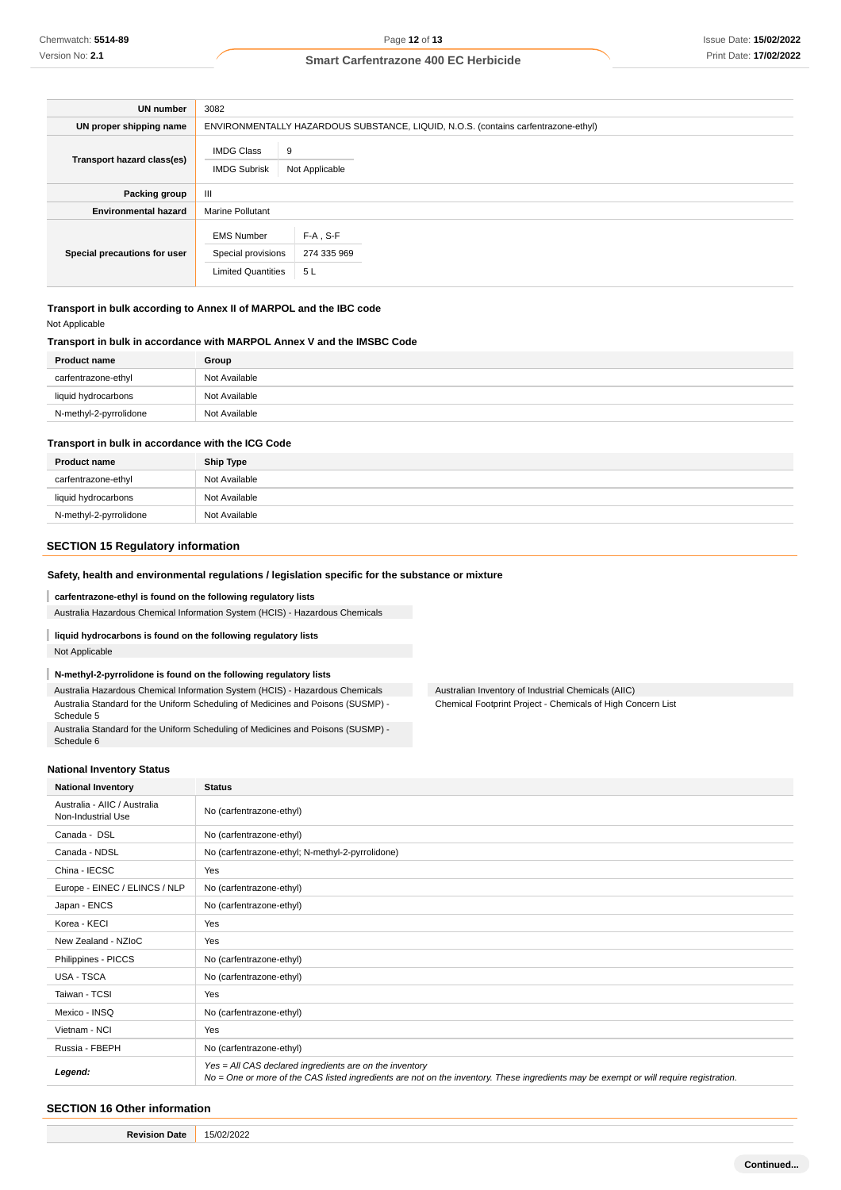| UN number                    | 3082                                                                 |                                                                                    |  |  |
|------------------------------|----------------------------------------------------------------------|------------------------------------------------------------------------------------|--|--|
| UN proper shipping name      |                                                                      | ENVIRONMENTALLY HAZARDOUS SUBSTANCE, LIQUID, N.O.S. (contains carfentrazone-ethyl) |  |  |
| Transport hazard class(es)   | <b>IMDG Class</b><br><b>IMDG Subrisk</b>                             | 9<br>Not Applicable                                                                |  |  |
| Packing group                | $\mathbf{III}$                                                       |                                                                                    |  |  |
| <b>Environmental hazard</b>  | <b>Marine Pollutant</b>                                              |                                                                                    |  |  |
| Special precautions for user | <b>EMS Number</b><br>Special provisions<br><b>Limited Quantities</b> | $F-A$ , S-F<br>274 335 969<br>5L                                                   |  |  |

**Transport in bulk according to Annex II of MARPOL and the IBC code** Not Applicable

#### **Transport in bulk in accordance with MARPOL Annex V and the IMSBC Code**

| <b>Product name</b>    | Group         |
|------------------------|---------------|
| carfentrazone-ethyl    | Not Available |
| liquid hydrocarbons    | Not Available |
| N-methyl-2-pyrrolidone | Not Available |

#### **Transport in bulk in accordance with the ICG Code**

| <b>Product name</b>    | <b>Ship Type</b> |
|------------------------|------------------|
| carfentrazone-ethyl    | Not Available    |
| liquid hydrocarbons    | Not Available    |
| N-methyl-2-pyrrolidone | Not Available    |

Australian Inventory of Industrial Chemicals (AIIC) Chemical Footprint Project - Chemicals of High Concern List

#### **SECTION 15 Regulatory information**

#### **Safety, health and environmental regulations / legislation specific for the substance or mixture**

#### I **carfentrazone-ethyl is found on the following regulatory lists**

Australia Hazardous Chemical Information System (HCIS) - Hazardous Chemicals

## **liquid hydrocarbons is found on the following regulatory lists**

Not Applicable

#### **N-methyl-2-pyrrolidone is found on the following regulatory lists**

Australia Hazardous Chemical Information System (HCIS) - Hazardous Chemicals Australia Standard for the Uniform Scheduling of Medicines and Poisons (SUSMP) - Schedule 5

Australia Standard for the Uniform Scheduling of Medicines and Poisons (SUSMP) - Schedule 6

#### **National Inventory Status**

| <b>National Inventory</b>                          | <b>Status</b>                                                                                                                                                                                     |  |
|----------------------------------------------------|---------------------------------------------------------------------------------------------------------------------------------------------------------------------------------------------------|--|
| Australia - AIIC / Australia<br>Non-Industrial Use | No (carfentrazone-ethyl)                                                                                                                                                                          |  |
| Canada - DSL                                       | No (carfentrazone-ethyl)                                                                                                                                                                          |  |
| Canada - NDSL                                      | No (carfentrazone-ethyl; N-methyl-2-pyrrolidone)                                                                                                                                                  |  |
| China - IECSC                                      | Yes                                                                                                                                                                                               |  |
| Europe - EINEC / ELINCS / NLP                      | No (carfentrazone-ethyl)                                                                                                                                                                          |  |
| Japan - ENCS                                       | No (carfentrazone-ethyl)                                                                                                                                                                          |  |
| Korea - KECI                                       | Yes                                                                                                                                                                                               |  |
| New Zealand - NZIoC                                | Yes                                                                                                                                                                                               |  |
| Philippines - PICCS                                | No (carfentrazone-ethyl)                                                                                                                                                                          |  |
| USA - TSCA                                         | No (carfentrazone-ethyl)                                                                                                                                                                          |  |
| Taiwan - TCSI                                      | Yes                                                                                                                                                                                               |  |
| Mexico - INSQ                                      | No (carfentrazone-ethyl)                                                                                                                                                                          |  |
| Vietnam - NCI                                      | Yes                                                                                                                                                                                               |  |
| Russia - FBEPH                                     | No (carfentrazone-ethyl)                                                                                                                                                                          |  |
| Legend:                                            | Yes = All CAS declared ingredients are on the inventory<br>No = One or more of the CAS listed ingredients are not on the inventory. These ingredients may be exempt or will require registration. |  |

### **SECTION 16 Other information**

**Revision Date** 15/02/2022